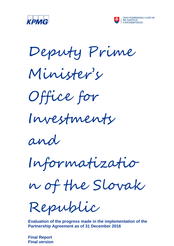



Deputy Prime





Investments

and

Informatizatio

n of the Slovak

Republic

**Evaluation of the progress made in the implementation of the Partnership Agreement as of 31 December 2016**

**Final Report Final version**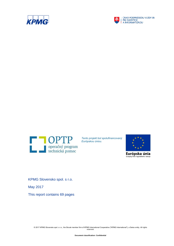



ÚRAD PODPREDSEDU VLÁDY SR<br>PRE INVESTÍCIE<br>A INFORMATIZÁCIU



*Tento projekt bol spolufinancovaný Európskou úniou.* 



Európska únia Európsky fond regionálneho rozvoja

KPMG Slovensko spol. s r.o.

May 2017

This report contains 69 pages

© 2017 KPMG Slovensko spol. s r.o., the Slovak member firm of KPMG International Cooperative ("KPMG International"), a Swiss entity. All rights reserved.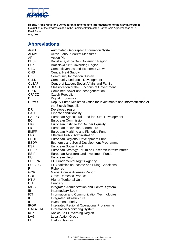

# <span id="page-2-0"></span>**Abbreviations**

| AGIS             | Automated Geographic Information System                               |
|------------------|-----------------------------------------------------------------------|
| ALMM             | <b>Active Labour Market Measures</b>                                  |
| AP.              | <b>Action Plan</b>                                                    |
| BBSK             | Banská Bystrica Self-Governing Region                                 |
| <b>BSK</b>       | <b>Bratislava Self-Governing Region</b>                               |
| <b>CEG</b>       | <b>Competitiveness and Economic Growth</b>                            |
| <b>CHS</b>       | <b>Central Heat Supply</b>                                            |
| C <sub>I</sub> S | <b>Community Innovation Survey</b>                                    |
| <b>CLLD</b>      | <b>Community-Led Local Development</b>                                |
| <b>CLSAF</b>     | Centre of Labour, Social Affairs and Family                           |
| <b>COFOG</b>     | <b>Classification of the Functions of Government</b>                  |
| <b>CPHG</b>      | Combined power and heat generation                                    |
| CR/CZ            | <b>Czech Republic</b>                                                 |
| DE               | <b>Digital Economics</b>                                              |
| <b>DPMOII</b>    | Deputy Prime Minister's Office for Investments and Informatization of |
|                  | the Slovak Republic                                                   |
| DR               | Developed region                                                      |
| <b>EAC</b>       | Ex-ante conditionality                                                |
| <b>EAFRD</b>     | European Agricultural Fund for Rural Development                      |
| EC               | <b>European Commission</b>                                            |
| <b>EIGE</b>      | European Institute for Gender Equality                                |
| <b>EIS</b>       | European Innovation Scoreboard                                        |
| <b>EMFF</b>      | European Maritime and Fisheries Fund                                  |
| <b>EPA</b>       | <b>Effective Public Administration</b>                                |
| ERDF             | European Regional Development Fund                                    |
| <b>ESDP</b>      | Economic and Social Development Programme                             |
| <b>ESF</b>       | European Social Fund                                                  |
| <b>ESFRI</b>     | European Strategy Forum on Research Infrastructures                   |
| <b>ESIF</b>      | European Structural and Investment Funds                              |
| EU               | <b>European Union</b>                                                 |
| EU FRA           | <b>EU Fundamental Rights Agency</b>                                   |
| <b>EU SILC</b>   | EU Statistics on Income and Living Conditions                         |
| F                | <b>Fisheries</b>                                                      |
| <b>GCR</b>       | <b>Global Competitiveness Report</b>                                  |
| GDP              | <b>Gross Domestic Product</b>                                         |
| HTU              | <b>Higher Territorial Unit</b>                                        |
| HU               | Hungary                                                               |
| <b>IACS</b>      | <b>Integrated Administration and Control System</b>                   |
| IB               | <b>Intermediary Body</b>                                              |
| <b>ICT</b>       | Information and Communication Technologies                            |
| Ш                | Integrated Infrastructure                                             |
| IP               | Investment priority                                                   |
| <b>IROP</b>      | <b>Integrated Regional Operational Programme</b>                      |
| ITMS2014+        | <b>Information Monitoring System</b>                                  |
| <b>KSK</b>       | Košice Self-Governing Region                                          |
| LAG              | <b>Local Action Group</b>                                             |
| LL               | Lifelong learning                                                     |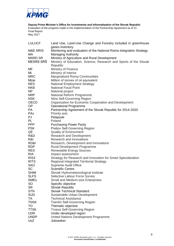

| <b>LULUCF</b>              | Land Use, Land-Use Change and Forestry included in greenhouse         |
|----------------------------|-----------------------------------------------------------------------|
|                            | gases inventory                                                       |
| <b>M&amp;E NRIS</b>        | Monitoring and evaluation of the National Roma Integration Strategy   |
| МA                         | <b>Managing Authority</b>                                             |
| <b>MARD SR</b>             | Ministry of Agriculture and Rural Development                         |
| MESRS SRŠ                  | Ministry of Education, Science, Research and Sports of the Slovak     |
|                            | Republic                                                              |
| MF                         | Ministry of Finance                                                   |
| MI                         | Ministry of Interior                                                  |
| <b>MRC</b>                 | Marginalized Roma Communities                                         |
| Mtoe                       | Million of tonnes of oil equivalent                                   |
| <b>NES</b>                 | <b>National Employment Strategy</b>                                   |
| <b>NKB</b>                 | <b>National Focal Point</b>                                           |
| NP                         | National project                                                      |
| <b>NRP</b>                 | National Reform Programme                                             |
| <b>NSK</b>                 | Nitra Self-Governing Region                                           |
| <b>OECD</b>                | Organization for Economic Cooperation and Development                 |
| OP                         | <b>Operational Programme</b>                                          |
| <b>PA</b>                  | Partnership Agreement of the Slovak Republic for 2014-2020            |
| <b>PAx</b>                 | Priority axis                                                         |
| PJ                         | Petajoule                                                             |
| PL                         | Poland                                                                |
| <b>PPP</b>                 | <b>Purchasing Power Parity</b>                                        |
| <b>PSK</b>                 | Prešov Self-Governing Region                                          |
| QE                         | <b>Quality of Environment</b>                                         |
| R&D                        | <b>Research and Development</b>                                       |
| R&I                        | <b>Research and Innovations</b>                                       |
| RD&I                       | Research, Development and Innovations                                 |
| <b>RDP</b>                 | <b>Rural Development Programme</b>                                    |
| <b>RES</b>                 | <b>Renewable Energy Sources</b>                                       |
| <b>RIA</b>                 | Impact assessment                                                     |
| RIS <sub>3</sub>           | Strategy for Research and Innovation for Smart Specialization         |
| <b>RITS</b>                | Regional Integrated Territorial Strategy                              |
| <b>SAO</b>                 |                                                                       |
| <b>SC</b>                  | Supreme Audit Office                                                  |
|                            | <b>Scientific Centre</b>                                              |
| <b>SHMI</b><br><b>SLFS</b> | Slovak Hydrometeorological Institute<br>Selective Labour Force Survey |
| <b>SMEs</b>                |                                                                       |
| SO                         | <b>Small and Medium-size Enterprises</b>                              |
| <b>SR</b>                  | Specific objective<br>Slovak Republic                                 |
|                            | <b>Slovak Technical Standard</b>                                      |
| <b>STN</b><br><b>SUD</b>   |                                                                       |
| TA                         | Sustainable Urban Development<br><b>Technical Assistance</b>          |
|                            |                                                                       |
| <b>TNSK</b>                | Trenčín Self-Governing Region                                         |
| TO                         | Thematic objective                                                    |
| <b>TTSK</b>                | <b>Trnava Self-Governing Region</b>                                   |
| <b>UDR</b>                 | Under-developed region                                                |
| <b>UNDP</b>                | United Nations Development Programme                                  |
| <b>UoZ</b>                 | Jobseeker                                                             |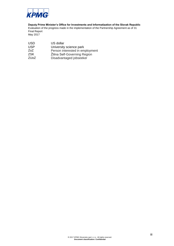

**Deputy Prime Minister's Office for Investments and Informatization of the Slovak Republic**

Evaluation of the progress made in the implementation of the Partnership Agreement as of 31 Final Report

May 2017

| <b>USD</b> | US dollar                       |
|------------|---------------------------------|
| <b>USP</b> | University science park         |
| ZoZ        | Person interested in employment |
| ZSK        | Žilina Self-Governing Region    |
| ZUoZ       | Disadvantaged jobseeker         |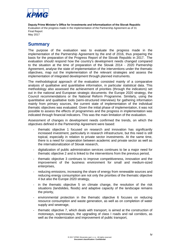

## <span id="page-5-0"></span>**Summary**

The purpose of the evaluation was to evaluate the progress made in the implementation of the Partnership Agreement by the end of 2016, thus preparing the basis for the preparation of the Progress Report of the Slovak Republic in 2017. The evaluation should respond how the country's development needs changed compared to the situation at the time of preparation of the Slovak 2014 - 2020 Partnership Agreement, analyse the state of implementation of the interventions under the thematic objectives, map out the implementation of the relevant strategies and assess the implementation of integrated development through planned instruments.

The methodological approach of the evaluation consisted mainly of a comparative analysis of qualitative and quantitative information, in particular statistical data. This methodology also assessed the achievement of priorities (through the indicators) set out in the national and European strategic documents: the Europe 2020 strategy, the Council recommendations or the National Reform Programme. Similarly, using the quantitative and qualitative tools (semi-structured interviews) for gathering information mainly from primary sources, the current state of implementation of the individual thematic objectives was evaluated. Given the initial phase of implementation, it was not possible to assess the effects of programmes and the progress in implementation was indicated through financial indicators. This was the main limitation of the evaluation.

Assessment of changes in development needs confirmed the trends, on which the objectives defined in the Partnership Agreement were based:

- thematic objective 1 focused on research and innovation has significantly increased investment, particularly in research infrastructure, but this need is still topical, especially in relation to private sector investments. At the same time, there is a need for cooperation between academic and private sector as well as the internationalization of Slovak research,
- digitalization of public administration services continues to be a major need for thematic objective 2 and is linked to the interventions from the previous period,
- thematic objective 3 continues to improve competitiveness, innovation and the improvement of the business environment for small and medium-sized enterprises,
- reducing emissions, increasing the share of energy from renewable sources and reducing energy consumption are not only the priorities of the thematic objective 4 but also the Europe 2020 strategy,
- in the thematic objective 5 on climate change, the resolution of the risk situations (landslides, floods) and adaptive capacity of the landscape remains the priority,
- environmental protection in the thematic objective 6 focuses on reducing resource consumption and waste generation, as well as on completion of water supply and sewerage,
- thematic objective 7, which deals with transport, is aimed at the construction of motorways, expressways, the upgrading of class I roads and rail corridors, as well as the modernization and improvement of public transport,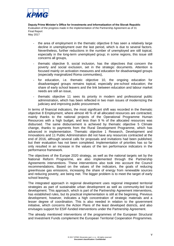

- the area of employment in the thematic objective 8 has seen a relatively large decline in unemployment over the last period, which is due to several factors. Nevertheless, further reductions in the number of unemployed are still topical, especially in the long-term unemployed group; in some regions, this issue still concerns all groups,
- thematic objective 9, social inclusion, has the objectives that concern the poverty and social exclusion, set in the strategic documents. Attention is focused mainly on activation measures and education for disadvantaged groups (especially marginalized Roma communities),
- for education, i.e. thematic objective 10, the ongoing education for disadvantaged groups remains topical, especially pre-school education; the share of early school leavers and the link between education and labour market needs are still an issue,
- thematic objective 11 sees its priority in modern and professional public administration, which has been reflected in two main issues of modernizing the judiciary and improving public procurement.

In terms of financial indicators, the most significant shift was recorded in the thematic objective 8 Employment, where almost 48 % of all allocated resources are contracted, mainly thanks to the national projects of the Operational Programme Human Resources with a high budget, and less than 9 % of the allocated resources was disbursed. The same disbursement is achieved by thematic objective 5 Climate change, thanks to payments from the Rural Development Programme, which has advanced in implementation. Thematic objective 1 Research, Development and Innovations and 11 Public Administration did not have any resources contracted at the end of 2016, although several calls for proposals and invitations had been published, but their evaluation has not been completed. Implementation of priorities has so far only resulted in an increase in the values of the ten performance indicators in the performance framework.

The objectives of the Europe 2020 strategy, as well as the national targets set by the National Reform Programme, are also implemented through the Partnership Agreements interventions. These interventions also took into account the Council recommendations. Based on the values of the indicators, the goals of reducing greenhouse gas emissions, increasing the share of energy from renewable sources and reducing poverty, are being met. The bigger problem is to meet the target of early school leaving.

The integrated approach in regional development uses regional integrated territorial strategies as part of sustainable urban development as well as community-led local development. This approach, which is part of the Partnership Agreement interventions, has established rules, but its practical implementation is still at the beginning. Previous development, however, indicates a high concentration of strategic materials and a lesser degree of coordination. This is also needed in relation to the government initiative, which concerns the Action Plans of the least developed districts, and also envisages support for ESIF-funded interventions under the Partnership Agreement.

The already mentioned interventions of the programmes of the European Structural and Investment Funds complement the European Territorial Cooperation Programmes.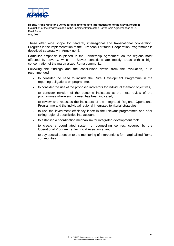

These offer wide scope for bilateral, interregional and transnational cooperation. Progress in the implementation of the European Territorial Cooperation Programmes is described separately in Annex no. 5.

Particular emphasis is placed in the Partnership Agreement on the regions most affected by poverty, which in Slovak conditions are mostly areas with a high concentration of the marginalized Roma community.

Following the findings and the conclusions drawn from the evaluation, it is recommended:

- to consider the need to include the Rural Development Programme in the reporting obligations on programmes,
- to consider the use of the proposed indicators for individual thematic objectives,
- to consider revision of the outcome indicators at the next review of the programmes where such a need has been indicated,
- to review and reassess the indicators of the Integrated Regional Operational Programme and the individual regional integrated territorial strategies,
- to use the investment efficiency index in the relevant programmes and after taking regional specificities into account,
- to establish a coordination mechanism for integrated development tools,
- to create a coordinated system of counselling centres, covered by the Operational Programme Technical Assistance, and
- to pay special attention to the monitoring of interventions for marginalized Roma communities.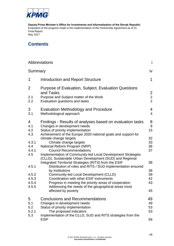

# **Contents**

|                                           | Abbreviations                                                                                                                                                                                                                                                                                                                                                                                              | j.                               |
|-------------------------------------------|------------------------------------------------------------------------------------------------------------------------------------------------------------------------------------------------------------------------------------------------------------------------------------------------------------------------------------------------------------------------------------------------------------|----------------------------------|
| Summary                                   |                                                                                                                                                                                                                                                                                                                                                                                                            | iv                               |
| 1                                         | Introduction and Report Structure                                                                                                                                                                                                                                                                                                                                                                          | $\mathbf 1$                      |
| 2<br>2.1<br>2.2                           | Purpose of Evaluation, Subject, Evaluation Questions<br>and Tasks<br>Purpose and Subject matter of the Work<br>Evaluation questions and tasks                                                                                                                                                                                                                                                              | $\overline{2}$<br>$\frac{2}{2}$  |
| 3<br>3.1                                  | <b>Evaluation Methodology and Procedure</b><br>Methodological approach                                                                                                                                                                                                                                                                                                                                     | $\overline{4}$<br>$\overline{4}$ |
| 4<br>4.1<br>4.2<br>4.3                    | Findings - Results of analyses based on evaluation tasks<br>Changes in development needs<br>Status of priority implementation<br>Achievement of the Europe 2020 national goals and support for                                                                                                                                                                                                             | 8<br>8<br>15                     |
| 4.3.1<br>4.4<br>4.4.1<br>4.5              | climate change targets<br>Climate change targets<br>National Reform Program (NRP)<br><b>Council Recommendations</b><br>Implementation of Community-led Local Development Strategies                                                                                                                                                                                                                        | 32<br>33<br>36<br>37             |
| 4.5.1<br>4.5.2<br>4.5.3<br>4.5.4<br>4.5.5 | (CLLD), Sustainable Urban Development (SUD) and Regional<br>Integrated Territorial Strategies (RITS) from the ESIF<br>Distribution of roles and RITS / SUD implementation ensured<br>by institutions<br>Community-led Local Development (CLLD)<br>Coordination with other ESIF instruments<br>Progress in meeting the priority areas of cooperation<br>Addressing the needs of the geographical areas most | 38<br>38<br>39<br>42<br>43       |
|                                           | affected by poverty                                                                                                                                                                                                                                                                                                                                                                                        | 45                               |
| 5<br>5.1<br>5.2<br>5.2.1<br>5.3           | <b>Conclusions and Recommendations</b><br>Changes in development needs<br>Status of priority implementation<br>The proposed indicators<br>Implementation of the CLLD, SUD and RITS strategies from the<br><b>ESIF</b>                                                                                                                                                                                      | 49<br>49<br>53<br>53<br>56       |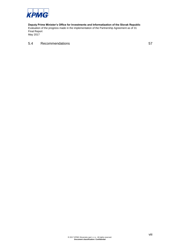

### 5.4 [Recommendations](#page-66-0) 57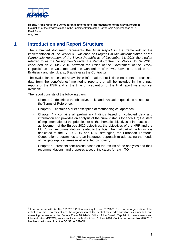

# **1 Introduction and Report Structure**

<span id="page-10-0"></span>The submitted document represents the *Final Report* in the framework of the implementation of the *Works 3 Evaluation of Progress in the Implementation of the Partnership Agreement of the Slovak Republic as of December 31, 2016* (hereinafter referred to as the "Assignment") under the Partial Contract on Works No. 690/2016 concluded on 26 May 2016 between the Office of the Government of the Slovak Republic<sup>1</sup> as the Customer and the Consortium of KPMG Slovensko, spol. s r.o., Bratislava and stengl. a.s., Bratislava as the Contractor.

The evaluation processed all available information, but it does not contain processed data from the beneficiaries´ monitoring reports that will be included in the annual reports of the ESIF and at the time of preparation of the final report were not yet available.

The report consists of the following parts:

- Chapter 2 describes the objective, tasks and evaluation questions as set out in the Terms of Reference,
- Chapter 3 contains a brief description of methodological approach,
- Chapter 4 contains all preliminary findings based on collected data and information and provides an analysis of the current status for each TO; the state of implementation of the priorities for all the thematic objectives, it introduces the achievement of the Europe 2020 objectives, the objectives of the NRP and the EU Council recommendations related to the TOs. The final part of the findings is dedicated to the CLLD, SUD and RITS strategies, the European Territorial Cooperation programmes and an integrated approach to addressing the needs of the geographical areas most affected by poverty.
- Chapter 5 presents conclusions based on the results of the analyses and their recommendations, and proposes a set of indicators for each TO.

 1 In accordance with Act No. 171/2016 Coll. amending Act No. 575/2001 Coll. on the organization of the activities of the Government and the organization of the central state administration, as amended, and amending certain acts, the Deputy Prime Minister´s Office of the Slovak Republic for Investments and Informatization (DPMOII) was established with effect from 1 June 2016. Contract on Works No. 690/2016 has been delimitated from the CO SR to DPMOII.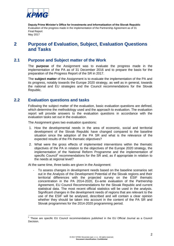

# <span id="page-11-0"></span>**2 Purpose of Evaluation, Subject, Evaluation Questions and Tasks**

## **2.1 Purpose and Subject matter of the Work**

<span id="page-11-1"></span>The **purpose** of the Assignment was to evaluate the progress made in the implementation of the PA as of 31 December 2016 and to prepare the basis for the preparation of the Progress Report of the SR in 2017.

The **subject matter** of the Assignment is to evaluate the implementation of the PA and its progress, notably towards the Europe 2020 strategy, as well as in general, towards the national and EU strategies and the Council recommendations for the Slovak Republic.

### **2.2 Evaluation questions and tasks**

<span id="page-11-2"></span>Following the subject matter of the evaluation, basic evaluation questions are defined, which determine the methodology used and the approach to evaluation. The evaluation report will provide answers to the evaluation questions in accordance with the evaluation tasks set out in the evaluation.

The Assignment gives two evaluation questions:

- 1. How the developmental needs in the area of economic, social and territorial development of the Slovak Republic have changed compared to the baseline situation since the adoption of the PA SR and what is the relevance of the expected results of the PA thematic objectives?
- 2. What were the gross effects of implemented interventions within the thematic objectives of the PA in relation to the objectives of the Europe 2020 strategy, the implementation of the National Reform Programme and the implementation of specific Council<sup>2</sup> recommendations for the SR and, as if appropriate in relation to the needs at regional level?

At the same time, three tasks are given in the Assignment:

- To assess changes in development needs based on the baseline scenarios set out in the Analysis of the Development Potential of the Slovak regions and their territorial differences with the projected survey on the ESIF thematic concentration in the PA 2014-2020, Ex-ante evaluation of the Partnership Agreement, EU Council Recommendations for the Slovak Republic and current statistical data. The most recent official statistics will be used in the analysis. Significant changes in the development needs of regions that are relevant to the use of the ESIF will be analysed, described and will contain a clear opinion whether they should be taken into account in the content of the PA SR and Slovak programmes for the 2014-2020 programming period.

<sup>1</sup> 2 These are specific EU Council recommendations published in the EU Official Journal as a Council Decision.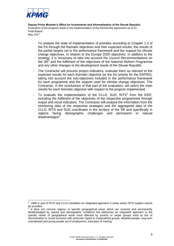

- To analyse the state of implementation of priorities according to Chapter 1.3 of the PA through the thematic objectives and their expected results, the results of the partial targets set in the performance framework and the support for climate change objectives, in relation to the Europe 2020 objectives. In addition to the strategy, it is necessary to take into account the Council Recommendations on the  $SR<sup>2</sup>$  and the fulfilment of the objectives of the National Reform Programme and any other changes in the development needs of the Slovak Republic.
- The Contractor will process project indicators, evaluate them as relevant to the expected results for each thematic objective (or the EU priority for the EAFRD), taking into account the sub-objectives included in the performance framework for each programme and the support used for climate change objectives. The Contractor, in the conclusions of that part of the evaluation, will select the main results for each thematic objective with respect to the projects implemented.
- To evaluate the implementation of the CLLD, SUD, RITS<sup>3</sup> from the ESIF, including the fulfilment of the objectives of the respective programmes through output and result indicators. The Contractor will analyse the information from the monitoring data of the respective strategies and the aggregated data of the CLLD, RITS and SUD coordinator in the territory of the SR and specifically in regions facing demographic challenges and permanent or natural disadvantages<sup>4</sup>.

 $\frac{1}{3}$  UMR is part of RITS and CLLD completes an integrated approach in areas where RITS support cannot be provided.<br><sup>4</sup> It dees n

It does not concern regions or specific geographical areas which are severely and permanently disadvantaged by natural and demographic conditions but addresses an integrated approach to the specific needs of geographical areas most affected by poverty or target groups most at risk of discrimination or social exclusion with particular regard to marginalized groups, disabled people, long-term unemployed and young people out of employment, education or training.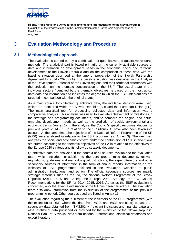

# <span id="page-13-0"></span>**3 Evaluation Methodology and Procedure**

## **3.1 Methodological approach**

<span id="page-13-1"></span>The evaluation is carried out by a combination of quantitative and qualitative research methods. The analytical part is based primarily on the currently available sources of data and information on development needs in the economic, social and territorial development of the Slovak Republic and on the comparison of these data with the baseline situation described at the time of preparation of the Slovak Partnership Agreement for 2014 - 2020 (PA). The baseline situation was described in the Analysis of the Development Potential of the Slovak regions and their territorial differences with the projection on the thematic concentration of the ESIF. The actual state in the individual sectors (identified by the thematic objectives) is based on the most up-todate data and information and indicates the degree to which the ESIF interventions are targeted in comparison with the original status.

As a main source for collecting quantitative data, the available statistics were used, which are monitored within the Slovak Republic (SR) and the European Union (EU). The main analytical tool for processing collected data and information was a comparative analysis. This analysis was used to evaluate achievement of milestones in the strategic and programming documents, and to compare the original and actual emerging development needs as well as the prediction of social, environmental and economic trends (Annex 1). In the analysis, the Council's specific recommendations for previous years 2014 - 16 in relation to the SR (Annex 4) have also been taken into account. At the same time, the objectives of the National Reform Programme of the SR (NRP) were analysed in relation to the ESIF programmes (Annex 3). The next part analyses the social and economic context, and/or the contribution of ESIF interventions structured according to the thematic objectives of the PA in relation to the objectives of the Europe 2020 strategy and its follow-up strategic documents.

Quantitative data are analysed in the context of all sources available to the evaluation team, which includes, in addition to the core programming documents, relevant regulations, guidelines and methodological instructions, the expert literature and other secondary sources of information in the form of annual reports, information on the websites of ESIF programmes included in the evaluation, websites of public administration institutions, and so on. The official secondary sources are mainly strategic materials such as the PA, the National Reform Programme of the Slovak Republic (2014, 2015 and 2016), the Europe 2020 Strategy, the EU Council Recommendations for the SR for 2014, 2015, 2016. As far as the ESIF evaluation is concerned, only the ex-ante evaluation of the PA has been carried out. The evaluation team also drew information from the evaluation of the programmes of the previous programming period. Other sources used are listed in Annex 11.

The evaluation regarding the fulfilment of the indicators of the ESIF programmes (with the exception of RDP where the data from AGIS and IACS are used) is based on secondary data obtained from ITMS2014+ (relevant indicators and financial data) and other statistical data published or provided by the ministries of the Slovak Republic, National Bank of Slovakia, data from national / international statistical databases and expert literature.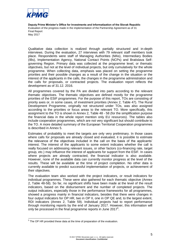

Qualitative data collection is realized through partially structured and in-depth interviews. During the evaluation, 27 interviews with 79 relevant staff members took place. Respondents were staff of Managing Authorities (MAs), Intermediary Bodies (IBs), Implementation Agency, National Contact Points (NCPs) and Bratislava Selfgoverning Region. Primary data was collected at the programme level, or thematic objectives, but not at the level of individual projects, but only cumulatively for the whole programme. When collecting data, emphasis was placed on setting the programme priorities and their possible changes as a result of the change in the situation or the interest of the applicants in the calls, the changes in the programme administration and the calls for proposals, or contracted projects. The evaluation report reflects the development as of 31.12. 2016.

All programmes covered by the PA are divided into parts according to the relevant thematic objectives. The thematic objectives are defined mostly for the programme priorities of the ESIF programmes. For the purpose of this report, TOs are consisting of priority axes or, in some cases, of investment priorities (Annex 2, Table 47). The Rural Development Programme, originally not structured under TOs, was also assigned according to the priorities or focus areas to the relevant TO. More specifically, this assignment to the TO is shown in Annex 2, Table 48 - 58 (for the simplification purpose the financial data in the whole report mention only EU resources). The tables also include cooperation programmes, which are not very significant but should contribute to the TO. A more detailed summary of the European Territorial Cooperation programmes is described in Annex 5.

Estimates of probability to meet the targets are only very preliminary. In those cases where calls for proposals are already closed and evaluated, it is possible to estimate the relevance of the objectives included in the call on the basis of the applicants' interest. The interest of the applicants to some extent indicates whether the call is really focused on addressing relevant issues, or other factors (co-financing rate, target group, etc.) may influence the interest of applicants for support from the ESIF. In cases where projects are already contracted, the financial indicator is also available. However, none of the available data can currently monitor progress at the level of the results. These will be available at the time of project completion. No other data is currently available to predict successful implementation of projects, or achievement of their objectives.

The evaluation team also worked with the project indicators, or result indicators for individual programmes. These were also gathered for each thematic objective (Annex 2, Table 48-58). So far, no significant shifts have been made at the level of the result indicators, based on the disbursement and the number of completed projects. The output indicators, especially those in the performance frameworks for all programmes, showed a progress mainly in financial indicators, besides that there were changes in four output indicators for OP HR, two in OP II, one in OP QE and, to the largest extent, RDI indicators (Annex 2, Table 59). Individual projects had to report performance through monitoring reports by the end of January 2017. However, this information will only be processed in the final programme reports in June 2017<sup>5</sup>.

1

<sup>&</sup>lt;sup>5</sup> The OP HR provided these data at the time of preparation of the evaluation.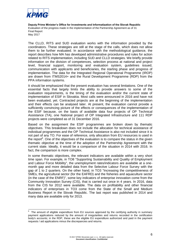

 $\overline{a}$ 

**Deputy Prime Minister's Office for Investments and Informatization of the Slovak Republic** Evaluation of the progress made in the implementation of the Partnership Agreement as of 31 **Final Report** May 2017

The CLLD, RITS and SUD evaluation works with the information provided by the coordinators. These strategies are still at the stage of the calls, which does not allow them to be further evaluated. In accordance with the methodological guidance, the report describes how MA has developed administrative procedures and rules for action related to RITS implementation, including SUD and CLLD strategies. We briefly provide information on the division of competences, selection process at national and project level, financial support, monitoring and evaluation system, guidelines issued, communication with applicants and beneficiaries, the starting phase and progress of implementation. The data for the Integrated Regional Operational Programme (IROP) are drawn from ITMS2014+ and the Rural Development Programme (RDP) from the PPA information systems.

It should be emphasized that the present evaluation has several limitations. One of the essential facts that largely limits the ability to provide answers to some of the evaluation requirements, is the timing of the evaluation and/or the current state of implementation of ESIF in Slovakia. Most calls were announced in 2016 and have not been evaluated, yet. Contracted projects are at the beginning of the implementation and their effects can be analysed later. At present, the evaluation cannot provide a sufficiently convincing picture of the effects or consequences of the implementation of the ESIF because, on the basis of available data four projects of OP Technical Assistance (TA), one National project of OP Integrated Infrastructure and 111 RDP projects were completed as of 31 December 2016.

Based on the assignment the ESIF programmes are broken down by thematic objectives. This breakdown does not include the allocation for technical assistance of individual programmes and the OP Technical Assistance is also not included since it is not part of any TO. For ease of reference, only allocation from EU resources is used in the report $6$ . One of the objectives of the evaluation is to compare the status in the given thematic objective at the time of the adoption of the Partnership Agreement with the current state. Ideally, it would be a comparison of the situation in 2014 with 2016. In fact, the comparison is more complex.

In some thematic objectives, the relevant indicators are available within a very short time span. For example, in TO8 "Supporting Sustainability and Quality of Employment and Labour Force Mobility", the unemployment rates/indicators are available at a onemonth gap and more detailed data from the Selective Labour Force Survey with the gap of 1 to 2 quarters. On the other hand, in TO3 "Increasing the competitiveness of SMEs, the agricultural sector (for the EAFRD) and the fisheries and aquaculture sector (in the case of the ENRF)", some key indicators of enterprise innovation come from the Community Innovation Survey (CIS), that is carried out once in 4 years. In 2016, data from the CIS for 2012 were available. The data on profitability and other financial indicators of enterprises in TO3 come from the State of the Small and Medium Business Report in the Slovak Republic. The last report was published in 2014 and many data are available only for 2013.

<sup>6</sup> The amount of eligible expenditure from EU sources approved by the certifying authority in summary payment applications reduced by the amount of irregularities and returns recorded in the certification body's accounts; in the RDP, these are the eligible EU expenditure authorized and paid in the payment requests / aid applications minus the discrepancies and returns.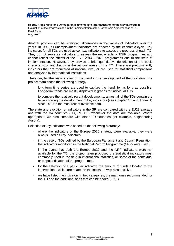

Another problem can be significant differences in the values of indicators over the years. In TO8, all unemployment indicators are affected by the economic cycle. Key indicators for all TOs are used as context indicators to assess the progress of each TO. They do not serve as indicators to assess the net effects of ESIF programmes and cannot reflect the effects of the ESIF 2014 - 2020 programmes due to the state of implementation. However, they provide a brief quantitative description of the basic characteristics and trends in the various areas of the TO. These are predominantly indicators that are monitored at national level, or are used for statistical comparisons and analyses by international institutions.

Therefore, for the realistic view of the trend in the development of the indicators, the project team chose the following strategy:

- long-term time series are used to capture the trend, for as long as possible. Long-term trends are mostly displayed in graphs for individual TOs;
- to compare the relatively recent developments, almost all of the TOs contain the table showing the development of key indicators (see Chapter 4.1 and Annex 1) since 2010 to the most recent available data.

The state and evolution of indicators in the SR are compared with the EU28 average and with the V4 countries (HU, PL, CZ) whenever the data are available. Where appropriate, we also compare with other EU countries (for example, neighbouring Austria).

Selection of key indicators was based on the following hierarchy:

- where the indicators of the Europe 2020 strategy were available, they were always used as key indicators,
- in the case of TOs defined by the European Parliament and Council Regulation, the indicators monitored in the National Reform Programme (NRP) were used,
- in the event that both the Europe 2020 and the NRP indicators were not available for the TO, the project team proposed the statistical indicators most commonly used in the field in international statistics, or some of the contextual or output indicators of the programmes,
- for the selection of a particular indicator, the amount of funds allocated to the interventions, which are related to the indicator, was also decisive,
- we have listed the indicators in two categories, the main ones recommended for the TO and the additional ones that can be added (5.2.1).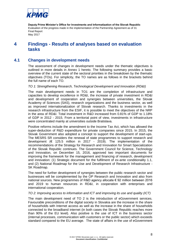

# <span id="page-17-0"></span>**4 Findings - Results of analyses based on evaluation tasks**

## **4.1 Changes in development needs**

<span id="page-17-1"></span>The assessment of changes in development needs under the thematic objectives is outlined in more details in Annex 1 hereto. The following summary provides a basic overview of the current state of the sectoral priorities in the breakdown by the thematic objectives (TOs). For simplicity, the TO names are as follows in the brackets behind the full name of each TO.

#### *TO 1: Strengthening Research, Technological Development and Innovation (RD&I)*

The main development needs in TO1 are the completion of infrastructure and capacities to develop excellence in RD&I, the increase of private investment in RD&I and development of cooperation and synergies between universities, the Slovak Academy of Sciences (SAS), research organizations and the business sector, as well as improved internationalization of Slovak research. Thanks to investments in the research infrastructure from the ESIF, it is possible to meet the objectives of the NRP in the area of RD&I. Total investment in R&D increased from 0.81% of GDP to 1.18% of GDP in 2012 - 2015. From a territorial point of view, investments in infrastructure were concentrated mainly at universities outside Bratislava.

Positive reforms include the amendment to the Income Tax Act, which has allowed the super-deduction of R&D expenditure for private companies since 2015. In 2015, the Slovak Government also adopted a concept to support the development of start-ups. The MESRS SR considers the renewal of state programmes to support research and development ( $\epsilon$  125.5 million in 2017 - 2019). The implementation of the recommendations of the Strategy for Research and Innovation for Smart Specialization of the Slovak Republic continues. The Government Council for Science, Technology and Innovation, on December 15, 2016, approved two important documents for improving the framework for the management and financing of research, development and innovation: (1) Strategic document for the fulfilment of ex-ante conditionality 1.1, and (2) National Roadmap for the Use and Development of Research Infrastructure - SK Roadmap.

The need for further development of synergies between the public research sector and businesses will be complemented by the OP Research and Innovation and also from national sources. New programmes of R&D agency allocate € 92 million between 2016 and 2019 to human resources in RD&I, in cooperation with enterprises and international cooperation.

#### *TO 2: Improving access to information and ICT and improving its use and quality (ICT)*

The main development need of TO 2 is the introduction of eGovernment services. Favourable preconditions of the digital society in Slovakia are the increase in the share of households with Internet access as well as the increase in the share of households connected to the broadband internet (in both cases the Slovak Republic reaches more than 90% of the EU level). Also positive is the use of ICT in the business sector (internal processes, communication with customers or the public sector) which exceeds standard compared to the EU average. The state of affairs in the use of eGovernment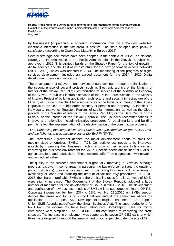

by businesses (in particular eTendering, information from the authorities' websites, electronic interaction in the tax area) is positive. The state of open data policy is satisfactory (according to Open Data Maturity in Europe 2016).

Several strategic documents have been adopted in the context of TO 2. The National Strategy of Informatization of the Public Administration in the Slovak Republic was approved in 2016. This strategy builds on the Strategy Paper for the field of growth in digital services and the field of infrastructure for the next generation access networks (2014 - 2020), which was adopted in 2014. The monitoring of the progress of digital services development includes an agreed document for the 2014 - 2020 Digital development monitoring indicators.

The development of eGovernment services should continue through the finalization of the second phase of several projects, such as Electronic archive of the Ministry of Interior of the Slovak Republic; Electronization of services of the Ministry of Economy of the Slovak Republic; Electronic services of the Police Force Section at the Ministry of Interior; Project of building application architecture and security infrastructure of the Ministry of Justice of the SR; Electronic services of the Ministry of Interior of the Slovak Republic in the field of public order, security of persons and property; IS Identifier of individuals; Insolvency Register; Register of spatial information; as well as the Cloud projects of the Ministry of Interior of the Slovak Republic; or the Data Centre of the Ministry of the Interior of the Slovak Republic. The Council's recommendations to improve and rationalize the administrative procedures for obtaining land and building permits reflect the implementation of the electronisation of the construction process.

#### *TO 3: Enhancing the competitiveness of SMEs, the agricultural sector (for the EAFRD) and the fisheries and aquaculture sector (for ENRF) (SMEs)*

The Partnership Agreement defines the major development needs of small and medium-sized enterprises (SMEs) in TO3. Competitiveness needs to be improved, notably by improving their business models, improving their access to finance, and improving the business environment for SMEs. Specific needs are defined for SMEs in agriculture, food and aquaculture. These sectors suffer from stagnation, low innovation and low added value.

The quality of the business environment is gradually improving in Slovakia, although progress is slower in some areas (in particular the law enforcement and the quality of public institutions). Slovakia has improved in the Doing Business ranking in terms of availability of loans and reducing the amount of tax and levy procedures. In 2010 - 2013, the share of profitable SMEs and the profitability ratios for all size types of SMEs were slightly increased. The Government of the Slovak Republic adopted a large number of measures for the development of SMEs in 2014 - 2016. The development and application of new business models of SMEs will be supported within the OP R&I. Corporate income tax fell from 23% to 22%. Act No. 290/2016 on SMEs support defines the areas and forms of support delivery and at the same time allows the application of the European SME Development Principles enshrined in the European Union SME Agenda (specifically the Small Business Act). The super-deductions for R&D from the income tax have been introduced. Bookkeeping rules for microenterprises were simplified. The JEREMIE Fund contributed to improving the credit situation. The increase in employment was supported by seven OP CEG calls, of which three were targeted to support the employment of young people under the age of 29.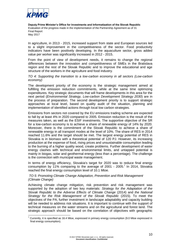

1

**Deputy Prime Minister's Office for Investments and Informatization of the Slovak Republic** Evaluation of the progress made in the implementation of the Partnership Agreement as of 31 **Final Report** May 2017

In agriculture, in 2013 - 2015, increased support from state and European sources led to a slight improvement in the competitiveness of the sector. Food productivity indicators have been positively developing. In the aquaculture sector, gross added value per worker was significantly increased in 2012 - 2015.

From the point of view of development needs, it remains to change the regional differences between the innovation and competitiveness of SMEs in the Bratislava region and the rest of the Slovak Republic and to improve the educational and age structure of the workers in the agriculture and food industry.

*TO 4: Supporting the transition to a low-carbon economy in all sectors (Low-carbon economy)*

The development priority of the economy is the strategic management aimed at fulfilling the emission reduction commitments, while at the same time optimizing expenditures. Key strategic documents that will frame developments in this area for the next period (*Environmental Strategy, Low-carbon Development Strategy 2030*) are in the process of preparation. The second development priority is to support strategic approaches at local level, based on quality audit of the situation, planning and implementation of identified actions through local low carbon strategies.

Emissions from sectors not covered by the EU emissions trading scheme are expected to fall by at least 4% in 2020 compared to 2005. Emission reduction is the result of the measures taken, as well as the ESIF investments. The supportive objective of the SR for a low-carbon economy is to achieve a share of renewable energy of 14% by 2020. Moreover, there is the commitment of the Slovak Republic to achieve a share of renewable energy in all transport modes at the level of 10%. The share of RES in 2014 reached 11.6% and the target should be met. The largest energy potential of RES in Slovakia is in biomass with a theoretical potential of 120 PJ. However, its increasing production at the expense of food, rising prices and unsustainable consumption leading to the burning of a higher quality wood, create problems. Further development of water energy clashes with technical and environmental limits, and untapped potential is mainly in biogas, solar and geothermal energy (less than a percentage). The challenge is the connection with municipal waste management.

In terms of energy efficiency, Slovakia's target for 2020 was to reduce final energy consumption by 11% comparing to the average of 2001 - 2005.<sup>7</sup> In 2014, Slovakia reached the final energy consumption level of 10.1 Mtoe.

#### *TO 5: Promoting Climate Change Adaptation, Prevention and Risk Management (Climate Change)*

Achieving climate change mitigation, risk prevention and risk management was supported by the adoption of two key materials: *Strategy for the Adaptation of the Slovak Republic to the Adverse Effects of Climate Change* (2014) and *the National Strategy for the Risk Management of the Slovak Republic* (2015). To meet the objectives of the PA, further investment in landscape adaptability and capacity building will be needed to address risk situations. It is important to continue with the support of technical measures on the water streams and on the agricultural and forest land. The strategic approach should be based on the correlation of objectives with geographic

 $7$  Currently, it is specified as 16.4 Mtoe, expressed in primary energy consumption (9.0 Mtoe expressed in final energy consumption).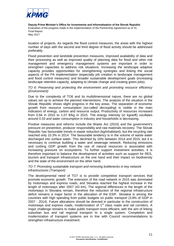

location of projects. As regards the flood control measures, the areas with the highest number of days with the second and third degree of flood activity should be addressed preferably.

Flood prevention and landslide prevention measures, improved availability of data and their processing as well as improved quality of planning data for flood and other risk management and emergency management systems are important in order to strengthen capacities to address risk situations. Increasing the landscape adaptive capacity provides opportunities for strengthening synergies and linking the social aspects of the PA implementation (especially job creation in landscape management and flood control measures) and broader sustainable development goals (increasing landscape retention capacity, adapting to climate change and creating green jobs).

*TO 6: Preserving and protecting the environment and promoting resource efficiency (Environment)*

Due to the complexity of TO6 and its multidimensional nature, there are no global values set up to achieve the planned interventions. The analysis of the situation in the Slovak Republic shows slight progress in the key areas. The separation of economic growth from resource consumption (so-called *decoupling*) is visible in the main indicators of energy, carbon and resource output. Productivity of resources increased from 0.94 in 2010 to 1.07  $\epsilon$ /kg in 2015. The energy intensity (in kgoe/ $\epsilon$ ) oscillates around 0.33 and water consumption in industry and households is decreasing.

Positive measures and reforms include the Waste Act (2015) and the government's pressure on prevention, producer responsibility and raw materials recovery. The Slovak Republic has favourable trends in waste reduction (kg/inhabitant), but the recycling rate reached only 10.3% in 2014. The favourable tendency is in the volume of waste water discharged into surface water. This declined by 16% between 2014 and 2015, but it is necessary to continue building a water and sewerage network. Reducing emissions and curbing GDP growth from the use of natural resources is associated with increasing pressure on ecosystems. To further support investment activities, it is therefore important to balance the development of activities such as support for RES, tourism and transport infrastructure on the one hand and their impact on biodiversity and the state of the environment on the other hand.

#### *TO 7: Promoting sustainable transport and removing bottlenecks in key network infrastructures (Transport)*

The developmental need of TO7 is to provide competitive transport services that promote economic growth. The extension of the road network in 2015 was dominated by motorways and express roads, and Slovakia reached the highest increase in the length of motorways after 2007 (43 km). The regional differences in the length of the motorways in Slovakia remain, therefore the reduction of the regional infrastructure deficit remains a major factor in the allocation of the ESIF. Slovakia is among the countries with high spending from public budgets on public transport (3.8% of GDP in 2007 - 2014). Future allocations should be directed in particular to the construction of motorways and express roads, modernization of  $1<sup>st</sup>$  class roads and rail corridors. A major challenge remains to make public transport more efficient, with the aim of linking suburban bus and rail regional transport to a single system. Completion and modernization of transport systems are in line with Council recommendations to strengthen infrastructure investment.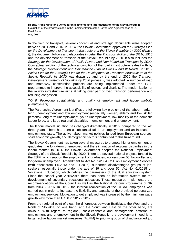

In the field of transport, several conceptual and strategic documents were adopted between 2014 and 2016. In 2014, the Slovak Government approved the *Strategic Plan for the Development of Transport Infrastructure of the Slovak Republic by 2020 (Phase I)*; the document follows and elaborates in detail the *Transport Policy of the SR by 2015* and the development of transport of the Slovak Republic by 2020. It also includes the *Strategy for the Development of Public Private and Non-Motorized Transport by 2020*. Conceptual solution of the technical condition of the road infrastructure is dealt with by the *Strategic Development and Maintenance Plan of Class II and III Roads.* In 2015, *Action Plan for the Strategic Plan for the Development of Transport Infrastructure of the Slovak Republic by 2030* was drawn up and by the end of 2016 the *Transport Development Strategy of Slovakia by 2030 (Phase II)* was adopted. A number of road and motorway construction projects are being implemented under the ESIF programmes to improve the accessibility of regions and districts. The modernization of the railway infrastructure aims at taking over part of road transport performance and reducing congestion.

#### *TO 8: Promoting sustainability and quality of employment and labour mobility (Employment)*

The Partnership Agreement identifies the following key problems of the labour market: high unemployment and low employment (especially women, elderly and low skilled persons), long-term unemployment, youth unemployment, low mobility of the domestic labour force, and large regional disparities in employment and unemployment.

The labour market situation has changed dramatically in 2016, compared to the last three years. There has been a substantial fall in unemployment and an increase in employment rates. The active labour market policies funded from European sources, solid economic growth, and demographic factors contributed to this turnaround.

The Slovak Government has taken several measures to promote higher employment of graduates, the long-term unemployed and the elimination of regional disparities in the labour market. In 2014, the Slovak Government adopted the National Employment Strategy of the Slovak Republic by 2020. There are several national projects funded by the ESIF, which support the employment of graduates, workers over 50, low-skilled and long-term unemployed. Amendment to Act No. 5/2004 Coll. on Employment Services (with effect from 1.5.2013 and 1.1.2015), supported disadvantaged groups of jobseekers, especially those under the age of 29 and over 50. Act No. 61/2015 on Vocational Education, which defines the parameters of the dual education system. Since the school year 2015/2016 there has been an information system for the development of secondary vocational education. These measures implemented the recommendations of the Council as well as the National Reform Programme of SR from 2014 - 2016. In 2015, the internal reallocation of the CLSAF employees was carried out in order to increase the flexibility and capacity of the provided personalized employment services. Motivation to get employed was increased by the minimum wage growth – by more than  $\epsilon$  100 in 2012 - 2017.

From the regional point of view, the differences between Bratislava, the West and the North of Slovakia, on one hand, and the South and East on the other hand, are obvious. With regard to regional, socio-economic and demographic patterns of employment and unemployment in the Slovak Republic, the development need is to target active labour market measures (ALMM) to priority groups of disadvantaged job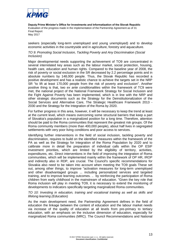

seekers (especially long-term unemployed and young unemployed) and to develop economic activities in the countryside and in agriculture, forestry and aquaculture.

#### *TO 9: Promoting Social Inclusion, Tackling Poverty and Any Discrimination (Social Inclusion)*

Major developmental needs supporting the achievement of TO9 are concentrated in several interrelated key areas such as the labour market, social protection, housing, health care, education and human rights. Compared to the baseline year of 2008, the risk of poverty or social exclusion in the SR decreased by 2.2 percentage points and in absolute numbers by 148,000 people. Thus, the Slovak Republic has recorded a positive development and has a realistic chance to achieve the targets set in the NRP SR "to lift at least 170,000 people from the risk of poverty and exclusion". Another positive thing is that, two *ex ante conditionalities* within the framework of TC9 were met, the national project of the National Framework Strategy for Social Inclusion and the Fight Against Poverty has been implemented, which is in line with the NRP and other strategic documents such as the Strategy for the Deinstitutionalization of the Social Services and Alternative Care, The Strategic Healthcare Framework 2013 - 2030 and the Strategy for the Integration of the Roma by 2020.

For further progress in this area, however, it will be necessary to keep the trend at least at the current level, which means overcoming some structural barriers that keep a part of Slovakia's population in a marginalized position for a long time. Therefore, attention should be paid to the Roma communities that represent the greatest risk groups. Of the Roma community members (more than 400,000 people), about half lives in segregated settlements with very poor living conditions and poor access to services.

Identifying further interventions in the field of social inclusion, tackling poverty and discrimination, requires to build on the identified measures within the framework of the PA as well as the Strategy for Integration of the Roma Population by 2020 and to calibrate more in detail the preparation of individual calls within the OP ESIF investment priorities, which are limited by the eligibility of territory, activities, expenditures, etc. Direct interventions in the field of improving the integration of Roma communities, which will be implemented mainly within the framework of OP HR, IROP and indirectly also in RDP, are crucial. The Council's specific recommendations for Slovakia also need to be taken into account when meeting the TO9 goals These set out, among other things, to improve "activation measures for long-term unemployed and other disadvantaged groups ... including personalized services and targeted training, and to improve learning outcomes. .. by reinforcing the participation of Roma children from early childhood in the mainstream of education. "Given the key role that Roma inclusion will play in meeting TO9, it is necessary to extend the monitoring of developments to indicators specifically targeting marginalized Roma communities.

#### *TO 10: Investing in education, training and vocational training as well as skills and lifelong learning (Education)*

As the main development need, the Partnership Agreement defines in the field of education the linkage between the content of education and the labour market needs via increase of the quality of education at all levels from pre-primary to tertiary education, with an emphasis on the inclusive dimension of education, especially for marginalized Roma communities (MRC). The Council Recommendations and National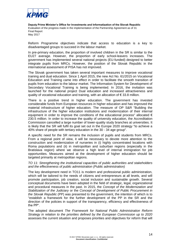

Reform Programme objectives indicate that access to education is a key to disadvantaged groups to succeed in the labour market.

In pre-primary education, the proportion of involved children in the SR is similar to the EU27 average. However, the proportion of early school-leavers increases. The government has implemented several national projects (EU-funded) designed to better integrate pupils from MRCs. However, the position of the Slovak Republic in the international assessment of PISA has not improved.

The Slovak government has taken several important measures to improve vocational training and dual education. Since 1 April 2015, the new Act No. 61/2015 on Vocational Education and Training came into effect in order to facilitate the smooth transition of pupils from education to the labour market. The Information System for Development of Secondary Vocational Training is being implemented. In 2016, the invitation was launched for the national project Dual education and increased attractiveness and quality of vocational education and training, with an allocation of  $\epsilon$  33.8 million.

There is a positive trend in higher education. The government has invested considerable funds from European resources in higher education and has improved the material infrastructure of higher education. The measure of OP S&R "Building the infrastructure of the higher education institutions and modernization of their internal equipment in order to improve the conditions of the educational process" allocated  $\epsilon$ 230.5 million. In order to increase the quality of university education, the Accreditation Commission cancelled a large number of lower-quality study branches at universities. It is likely that the SR will fulfil its goal set out in the Europe 2020 strategy "to achieve a 40% share of people with tertiary education in the 30 - 34 age group".

A specific need for the SR remains the inclusion of pupils and students from MRCs. From a regional point of view, it will be necessary to devote more attention to the construction and modernization of nurseries in (i) highly concentrated locations with Roma populations and (ii) in metropolitan and suburban regions (especially in the Bratislava region) where we observe a high level of internal immigration for job opportunities. Measures aimed at the development of higher education should be targeted primarily at metropolitan regions.

*TO 11: Strengthening the institutional capacities of public authorities and stakeholders and the effectiveness of public administration (Public administration)*

The key development need in TO11 is modern and professional public administration, which will be tailored to the needs of citizens and entrepreneurs at all levels, and will promote participation, job creation, social inclusion and sustainable growth. Several conceptual documents have been adopted in the field of strategic, legal, organizational and procedural measures in the past. In 2015, the *Concept of the Modernization and Stabilization of the Judiciary* or the *Concept of Development of Public Procurement in the Slovak Republic* (PP) was presented to the government, the intention of which is to "establish a framework for the further development of the PP in the SR and the direction of the policies in support of the transparency, efficiency and effectiveness of the PP".

The adopted document *The Framework for National Public Administration Reform Strategy in relation to the priorities defined by the European Commission up to 2020* assesses the current situation and proposes priorities and objectives for reform that will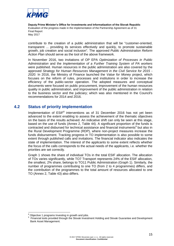

contribute to the creation of a public administration that will be "customer-oriented, transparent ... providing its services effectively and quickly, to promote sustainable growth, job creation and social inclusion". The approved *Public Administration Reform Action Plan* should serve as the tool of the above framework.

In November 2016, two invitations of OP EPA *Optimization of Processes in Public Administration* and the *Implementation of a Further Training System of PA workers* were published. Human resources in the public administration are also covered by the approved *Strategy for Human Resources Management in the Civil Service for 2015 - 2020.* In 2016, the Ministry of Finance launched the *Value for Money* project, which focuses on the reform of rules, processes and institutions in order to increase the efficiency of the public-sector operation. The adopted measures and conceptual documents were focused on public procurement, improvement of the human resources quality in public administration, and improvement of the public administration in relation to the business sector and the judiciary; which was also mentioned in the Council's recommendations for 2014 and 2016.

### **4.2 Status of priority implementation**

<span id="page-24-0"></span>Implementation of ESIF<sup>8</sup> interventions as of 31 December 2016 has not yet been advanced to the extent enabling to assess the achievement of the thematic objectives on the basis of the results achieved. An indicative shift can only be seen at this stage, based on the use of funds (Annex 2, Table 44). A significant proportion of the funds is contracted and disbursed for technical assistance and financial instruments<sup>9</sup> but also in the Rural Development Programme (RDP), where non-project measures increase the funds disbursement. Tracking progress in TO implementation is also possible to some extent through published calls and invitations. The financial indicator also indicates the state of implementation. The interest of the applicants to some extent reflects whether the focus of the calls corresponds to the actual needs of the applicants, i.e. whether the priorities are set correctly.

Graph 1 shows the share of individual TOs in the total ESIF allocation. The allocation of TOs varies significantly, while TO7 Transport represents 24% of the ESIF allocation, the smallest, 2% share, belongs to TO11 Public Administration (Graph 1). Similarly, the number of programmes contributing to one TO (from 2 to 4 programmes) differs, and the contribution of the programmes to the total amount of resources allocated to one TO (Annex 2, Table 43) also differs.

1

<sup>&</sup>lt;sup>8</sup> Objective 1 programs Investing in growth and jobs.

<sup>9</sup> Financial tools provided through the Slovak Investment Holding and Slovak Guarantee and Development Bank Asset Management.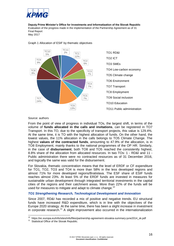



#### Graph 1 Allocation of ESIF by thematic objectives

#### Source: authors

From the point of view of progress in individual TOs, the largest shift, in terms of the volume of **funds allocated in the calls and invitations**, can be registered in TO7 Transport. In this TO, due to the specificity of transport projects, this value is 129.4%. At the same time, it is TO with the highest allocation of funds. On the other hand, the lowest values, the 11% allocation in the calls belongs to TO5 Climate Change. The highest **values of the contracted funds**, amounting to 47.9% of the allocation, is in TO8 Employment, mainly thanks to the national programmes of the OP HR. Similarly, in the case of **disbursement**, both TO8 and TO5 reached the consistently highest, 8.8% share of the allocation from allocated resources. In two TOs: 1 - RD&I and 11 - Public administration there were no contracted resources as of 31 December 2016, and logically the same was valid for the disbursement.

For Slovakia, thematic concentration means that the level of ERDF or CF expenditure for TO1, TO2, TO3 and TO4 is more than 58% in the less developed regions and almost 71% for more developed regions/Bratislava. The ESF share of ESIF funds reaches almost 23%. At least 5% of the ERDF funds are invested in measures for sustainable urban development through integrated territorial investments in the capital cities of the regions and their catchment areas. More than 22% of the funds will be used for measures to mitigate and adapt to climate change.<sup>10</sup>

#### *TO1 Strengthening Research, Technological Development and Innovation*

Since 2007, RD&I has recorded a mix of positive and negative trends. EU structural funds have increased R&D expenditure, which is in line with the objectives of the Europe 2020 strategy. At the same time, there has been a slight increase in investment in corporate research.<sup>11</sup> A slight improvement also occurred in the internationalization

 10 https://ec.europa.eu/info/sites/info/files/partnership-agreement-slovakia-summary-june2014\_sk.pdf

<sup>&</sup>lt;sup>11</sup> Statistical Office of the Slovak Republic.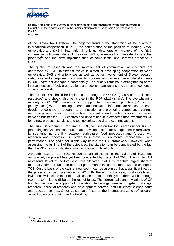

of the Slovak R&D system. The negative trend is the stagnation of the quality of international cooperation in R&D, the deterioration of the position of leading Slovak universities and SAS in international rankings, deteriorating indicators of the RD&I commercial outcomes (share of innovating SMEs, revenues from the sale of intellectual property)<sup>12</sup> and the slow implementation of some institutional reforms proposed in RIS3.

The quality of research and the improvement of commercial R&D outputs are addressed by ESIF investment, which is aimed at developing cooperation between universities, SAS and enterprises as well as better involvement of Slovak research institutions and enterprises in community programmes. However, recent developments in R&D, have not changed fundamentally. The priority remains in strengthening of the interconnection of R&D organizations and public organizations and the enhancement of smart specialization.

The core of TO1 should be implemented through the OP R&I (97.9% of the allocated resources) and should also participate in the RDP (2.1% share). The overwhelming majority of OP  $R\&1^{13}$  resources is to support two investment priorities (IPs) in two priority axes (PAs): Enhancing research and innovation infrastructure and capacities to develop excellence in research and innovation and promoting competence centres; and enterprises investing in research and innovation and creating links and synergies between businesses, R&D centres and universities. It is expected that investments will bring new products, services and technologies, social and eco-innovations.

The Rural Development Programme (RDP) focuses on two focus areas under TO1: a) promoting innovations, cooperation and development of knowledge base in rural areas, b) strengthening the link between agriculture, food production and forestry with research and innovation, in order to improve environmental management and performance. The goals set in this way fit into the TO1 framework. However, when assessing the fulfilment of the objectives, the situation can be complicated by the fact that the RDP results indicators, monitor the output level only.

Although 41% of the TO1 resources are allocated in the calls and invitations announced, no project has yet been contracted by the end of 2016. The whole TO1 represents 12.4% of the total resources allocated to all TOs, the third largest share of the total volume of funds. In terms of performance indicators, there was no change in TO1. On the basis of the calls announced, it can be assumed that a significant part of the projects will be implemented in 2017. By the end of the year, fund in calls and invitations will include most of the allocation and in the next years there will be enough room to commit and disburse the rest of funds. The current calls and invitations of OP R&I focused on the support of innovation, technology transfer, long-term strategic research, industrial research and development centres, and university science parks and research centres. Other calls should focus on the internationalization of research as well as on cooperation and networking.

<sup>12</sup> Eurostat.

<sup>&</sup>lt;sup>13</sup> BSK share is about 9% of the allocation.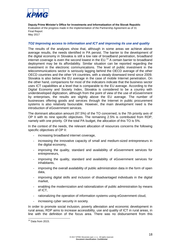

#### *TO2 Improving access to information and ICT and improving its use and quality*

The results of the analyses show that, although in some areas we achieve above average results, the needs identified in PA persist. The barrier to the development of the digital economy in Slovakia is still a low rate of broadband penetration, broadband internet coverage is even the second lowest in the  $EU^{14}$  A certain barrier to broadband deployment may be its affordability. Similar situation can be reported regarding the investment in the electronic communications. The level of public investment in the telecommunications sector is seriously lagging behind the OECD average of the other OECD countries and the other V4 countries, with a steady downward trend since 2009. Slovakia is also below the EU average in the case of mobile Internet penetration. On the other hand, comparisons for most of the indicators indicate that the business sector uses ICT capabilities at a level that is comparable to the EU average. According to the Digital Economy and Society Index, Slovakia is considered to be a country with underdeveloped digitization, although from the point of view of the use of eGovernment by enterprises, the results are slightly above the EU average. The number of businesses offering goods and services through the Internet in public procurement systems is also relatively favourable. However, the main development need is the introduction of eGovernment services.

The dominant allocation amount (97.5%) of the TO concerned, is the 7th priority axis of OP II with its nine specific objectives. The remaining 2.5% is contributed from RDP, namely with one priority. Of the total PA budget, the allocation of this TO is 5%.

In the context of the needs, the relevant allocation of resources concerns the following specific objectives of OP II:

- increasing broadband internet coverage,
- increasing the innovative capacity of small and medium-sized entrepreneurs in the digital economy,
- improving the quality, standard and availability of eGovernment services for entrepreneurs,
- improving the quality, standard and availability of eGovernment services for inhabitants,
- improving the overall availability of public administration data in the form of open data,
- improving digital skills and inclusion of disadvantaged individuals in the digital market,
- enabling the modernization and rationalization of public administration by means of ICT,
- rationalizing the operation of information systems using eGovernment cloud,
- increasing cyber security in society.

In order to promote social inclusion, poverty alleviation and economic development in rural areas, RDP aims to increase accessibility, use and quality of ICT in rural areas, in line with the definition of the focus area. There was no disbursement from this

<sup>1</sup>  $14$  Data from 2015.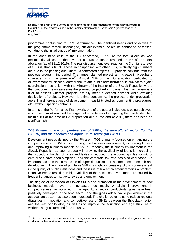

programme contributing to TO's performance. The identified needs and objectives of the programme remain unchanged, but achievement of results cannot be assessed, yet, due to the initial stages of implementation.

In the announced calls of the TO concerned, 19.9% of the total allocation was preliminarily allocated, the level of contracted funds reached 14.1% of the total allocation (as of 31.12.2016). The real disbursement level reaches the 3rd highest level of all TOs, that is 6.1%. These, in comparison with other TOs, relatively high numbers are due to the phasing out. Out of 13 contracted projects, 10 projects continue from the previous programming period. The largest planned project, an increase in broadband coverage, is in the pre-stage<sup>15</sup>. Almost 72% of the TO allocation dedicated to eGovernment for citizens, entrepreneurs and public administration, is subject to a joint coordination mechanism with the Ministry of the Interior of the Slovak Republic, where the joint commission assesses the planned project reform plans. This mechanism is a filter to assess whether projects actually meet a defined concept while avoiding duplication of projects. However, it is time consuming: the projects under preparation are still in different stages of development (feasibility studies, commenting procedures, etc.) without specific contracts.

In terms of the Performance Framework, one of the output indicators is being achieved, which has almost reached the target value. In terms of comparing the needs identified for this TO at the time of PA preparation and at the end of 2016, there has been no significant shift.

#### *TO3 Enhancing the competitiveness of SMEs, the agricultural sector (for the EAFRD) and the fisheries and aquaculture sector (for ENRF)*

Development needs defined by the PA are in TO3 primarily focused on enhancing the competitiveness of SMEs by improving the business environment, accessing finance and improving business models of SMEs. Recently, the business environment in the Slovak Republic has been gradually improving: the availability of loans is increasing, the procedural burden of taxes and levies is reduced, the accounting rules for microenterprises have been simplified, and the corporate tax rate has also decreased. An important factor is the introduction of super-deductions for income-based research and development. The share of profitable SMEs is slightly increasing. Slow progress is still in the quality of public institutions and the issue of law enforcement remains a problem. Negative trends resulting in high volatility of the business environment are caused by frequent changes to tax laws, levies and employment.

The degree of innovation of Slovak SMEs and promotion of the development of new business models have not increased too much. A slight improvement in competitiveness has occurred in the agricultural sector, productivity gains have been positively developed in the food sector, and the gross added value per worker in the aquaculture sector has also been increased. The challenge remains to reduce regional disparities in innovation and competitiveness of SMEs between the Bratislava region and the rest of Slovakia, as well as to improve the education and age structure of workers in agriculture and food industry.

 $\frac{1}{15}$  At the time of the assessment, an analysis of white spots was prepared and negotiations were conducted with operators on the number of settings.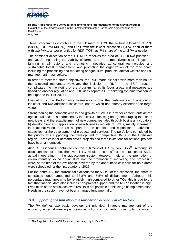

Three programmes contribute to the fulfilment of TO3: the highest allocation of RDP (58,1%), OP R&I (40,6%), and OP F with the lowest allocation (1,3%), each of them with two PAxs, and/or priorities for RDP. TO3 has 7% share of the total PA allocation.

The dominant allocation of the TO, RDP, resolves the area of TO3 in two priorities (2 and 3). Strengthening the viability of farms and the competitiveness of all types of farming in all regions and promoting innovative agricultural technologies and sustainable forest management; and promoting the organization of the food chain, including the processing and marketing of agricultural products, animal welfare and risk management in agriculture.

In order to meet the stated objectives, the RDP made six calls with more than half of the allocated resources. However, the inclusion of RDP in the ESIF structure complicates the monitoring of the programme, as its focus areas and measures are based on another regulation and RDP uses separate IT monitoring systems that cannot be exported to ITMS2014+.

Evaluation of the Performance Framework shows the performance of one output indicator and two additional indicators, one of which has already exceeded the target value.

Strengthening the competitiveness and growth of SMEs in a wider context, outside the agricultural sector, is addressed by the OP R&I, focusing on: a) encouraging the use of new ideas and the establishment of new companies, also through business incubators, b) development and application of new business models of SMEs, mainly in terms of internationalization, and (c) support for the creation and expansion of advanced capacities for the development of products and services. The portfolio is completed by the priority axis supporting the development of competitive SMEs in the Bratislava region. Three calls for demand-driven projects and three invitations for national projects have been announced.

Also, OP Fisheries contributes to the fulfilment of TO by two PAxs<sup>16</sup>. Although its allocation cannot affect the overall TO results, it can affect the situation of SMEs actually operating in the aquaculture sector. However, neither the promotion of environmentally sound aquaculture nor the promotion of marketing and processing were, at the time of the evaluation, covered by the announced call; calls for both areas were scheduled for the first quarter of 2017.

For the entire TO, the current calls accounted for 58.1% of the allocation, the share of contracted funds amounted to 33.8% and 5.5% of disbursement. Although this percentage may appear to be relatively high compared to other TOs, this is due to the fact that financial data also includes non-project support and the RDP allocation is high. Evaluation of the actual achieved results is not possible at this stage of implementation. Needs in the sector have not been changed fundamentally.

#### *TO4 Supporting the transition to a low-carbon economy in all sectors*

The PA defines two basic development priorities: Strategic management of the economy aimed at meeting emission reduction commitments in cost optimization and

1

 $16$  The Regulation for the OP F was adopted late, only in May 2014.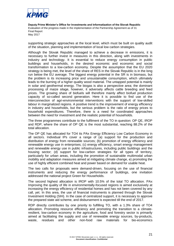

supporting strategic approaches at the local level, which must be built on quality audit of the situation, planning and implementation of local low carbon strategies.

Although the Slovak Republic managed to achieve a decrease in emissions, it is necessary to further invest in measures in this direction, along with investments in industry and technology. It is essential to reduce energy consumption in public buildings and households, in the desired economic and economic and social transformation to a low-carbon economy. Despite the assumption that the EU 2020 strategy is being met, the level of the share of RES in the Slovak Republic is in the long run below the EU average. The biggest energy potential in the SR is in biomass, but the problem is its increasing price and unsustainable consumption, which ultimately leads to the burning of a higher quality wood material. The untapped potential is mainly in solar and geothermal energy. The biogas is also a perspective area; the dominant processing of maize silage, however, it adversely affects cattle breeding and feed prices. The growing share of biofuels will therefore mainly affect biofuel production capacity of so-called second generation. Here it is possible to find use of the interconnection of agri-environmental interventions with the support of low-skilled labour in marginalized regions. A positive trend is the improvement of energy efficiency in industry and households, but the serious problem is the ratio of energy prices to household expenditures. Therefore, there is a need for coordinated approaches between the need for investment and the realistic potential of households.

The three programmes contribute to the fulfilment of the TO in question: OP QE, IROP and RDP, where the share of OP QE is the most substantial, reaching 88.2% of the total allocation.

The OP QE has allocated for TO4 its PAx Energy Efficiency Low Carbon Economy in all sectors. Individual IPs cover a range of (a) support for the production and distribution of energy from renewable sources; (b) promotion of energy efficiency and renewable energy use in enterprises; (c) energy efficiency, smart energy management and renewable energy use in public infrastructures, including public buildings and the housing sector; (d) support for low-carbon strategies for all types of territory, particularly for urban areas, including the promotion of sustainable multimodal urban mobility and adaptation measures aimed at mitigating climate change, e) promoting the use of highly efficient combined heat and power based on demand for usable heat.

The two calls for proposals were demand-driven, focusing on the use of financial instruments and reducing the energy performance of buildings, one invitation addressed the national project Green for Households.

The second highest allocation is IROP with 10.5% of the total TO allocation. PAx Improving the quality of life in environmentally-focused regions is aimed exclusively at increasing the energy efficiency of residential homes and has not been covered by any call, yet. In this area, the use of financial instruments is planned through the Slovak Investment Holding (SIH). In the case of centralized support, it is necessary to approve the prepared state aid scheme, and disbursement is expected till the end of 2017.

RDP directly contributes by one priority to fulfilling TO, with a 1.3% share of TO4 allocation. Promoting resource efficiency and promoting the transition to a climateresilient, low-carbon economy in the agriculture, food and forestry sector is primarily aimed at facilitating the supply and use of renewable energy sources, by-products, waste, residues and other non-food raw materials for bio-economics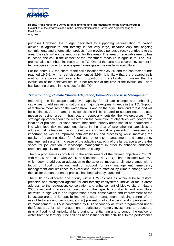

purposes. However, the budget dedicated to supporting sequestration of carbon dioxide in agriculture and forestry is not very large, because only the ongoing commitments and afforestation projects from previous periods directly contribute to the area (the calls will not be announced for this area). The area of renewable energy has launched one call in the context of the investment measure in agriculture. The RDP projects also contribute indirectly to the TO. One of the calls has covered investment in technologies in order to reduce greenhouse gas emissions from agriculture.

For the entire TC, the share of the call allocation was 35.2% and the contracted funds reached 19.5%, with a real disbursement at 3.9%. It is likely that the prepared calls waiting for approval will cover a high proportion of the allocation. It means that the evaluation of the achieved results is not realistic at the time of the evaluation. There has been no change in the needs for this TO.

#### *TO5 Promoting Climate Change Adaptation, Prevention and Risk Management*

Improving the landscape's adaptive capacity for climate change and enhancing capacities to address risk situations are major development needs in the TO. Support of technical measures on the water streams and on the agricultural and forest land will be continued. At the same time, conditions will be created to support nature-related measures using green infrastructure, especially outside the watercourses. The strategic approach should be reflected on the correlation of objectives with geographic location of projects. For flood control measures, priority areas should be addressed in line with flood risk management plans. In the area of strengthening capacities to address risk situations, flood prevention and landslide prevention measures are important, as well as improved data availability and processing while improving the quality of planning data for flood and other risk management and emergency management systems. Increase of the adaptive capacity of the landscape also creates space for job creation in landscape management in order to enhance landscape retention capacity and adaptation to climate change.

The two programmes contribute to the achievement of the defined objectives: OP QE with 67.2% and RDP with 32.8% of allocation. The OP QE has allocated two PAs, which seek to address a) adaptation to the adverse impacts of climate change with a focus on flood protection; and b) support for risk management, emergency management and resilience to exceptional events affected by climate change where the call for demand-oriented projects has been already launched.

The RDP has allocated one priority within TO5 (as well as within TO6) to restore, preserve and strengthen agricultural and forestry ecosystems. Individual focus areas address: a) the restoration, conservation and enhancement of biodiversity on Natura 2000 sites and in areas with natural or other specific constraints and agricultural activities in high value and regeneration areas, conservation and improvement of the landscape areas of Europe, b) improving water management including control of the use of fertilizers and pesticides, and (c) prevention of soil erosion and improvement of its management. TO 5 is contributed by RDP secondary activities programmed under the focus area for risk management in agriculture, namely investments to reduce the risks of flooding of agricultural land during torrential rain and to control the outflow of water from the territory. One call has been issued for the activities. In the performance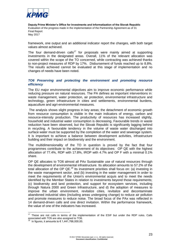

framework, one output and an additional indicator report the changes, with both target values almost achieved.

The four demand-driven calls<sup>17</sup> for proposals were mainly aimed at supporting investments in the designated areas. Overall, 11% of the relevant allocation was covered within the scope of the TO concerned, while contracting was achieved thanks to non-project measures of RDP by 17%. Disbursement of funds reached up to 8.8%. The results achieved cannot be evaluated at this stage of implementation and no changes of needs have been noted.

#### *TO6 Preserving and protecting the environment and promoting resource efficiency*

The EU major environmental objectives aim to improve economic performance while reducing pressure on natural resources. The PA defines as important interventions in: waste management, water protection, air protection, environmental infrastructure and technology, green infrastructure in cities and settlements, environmental burdens, aquaculture and agri-environmental measures.

The analysis shows slight progress in key areas; the detachment of economic growth from resource consumption is visible in the main indicators of energy, carbon and resource-intensity production. The productivity of resources has increased slightly, household and industrial water consumption is decreasing. Favourable trends in waste reduction have been observed, but the Slovak Republic is significantly lagging behind in recycling. A favourable tendency in the volume of waste water discharged into surface water must be supported by the completion of the water and sewerage system. It is important to achieve a balance between development activities, infrastructure building and their impact on biodiversity and the environment.

The multidimensionality of the TO in question is proved by the fact that four programmes contribute to the achievement of its objectives: OP QE with the highest allocation of 77.4%, RDP with 17.8%, IROP with 4.7% and OP F with a minimal 0.1% share.

OP QE allocates to TO6 almost all PAx Sustainable use of natural resources through the development of environmental infrastructure. Its allocation amounts to 57.2% of the total allocation of the OP QE.<sup>18</sup> Its investment priorities shall focus on: (a) investing in the waste management sector, and (b) investing in the water management in order to meet the requirements of the Union's environmental acquis and to meet the needs identified by the Member States in relation to investments beyond those requirements; (c) biodiversity and land protection, and support for ecosystem services, including through Natura 2000 and Green Infrastructure, and d) the adoption of measures to improve the urban environment, revitalize cities, revitalize and decontaminate abandoned industrial sites (including areas undergoing change) to reduce air pollution and promote measures to reduce noise. The broad focus of the PAx was reflected in 14 demand-driven calls and one direct invitation. Within the performance framework, the value of one of the indicators has increased.

1

 $17$  These are not calls in terms of the implementation of the ESIF but under the RDP rules. Calls associated with TO5 are also assigned to TO6.<br><sup>18</sup> In figures, it amounts to € 1,441,766,000.00.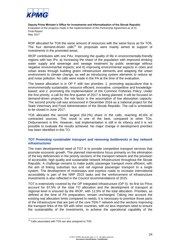

RDP allocated for TO6 the same amount of resources with the same focus as for TO5. The four demand-driven calls<sup>19</sup> for proposals were mainly aimed at support of investments in the promoted areas.

IROP contributes with one PAx: Improving the quality of life in environmentally-friendly regions with two IPs: a) Increasing the share of the population with improved drinking water supply and sewerage and sewage treatment by public sewerage without negative environmental impacts; and b) improving environmental aspects in cities and urban areas through building green infrastructure elements and adapting the urban environment to climate change, as well as introducing system elements to reduce air and noise pollution. No calls were made in the PA at the time of the evaluation.

The lowest allocation is in OP F with two priorities: 1. promoting aquaculture that is environmentally sustainable, resource efficient, innovative, competitive and knowledgebased; and 2. promoting the implementation of the Common Fisheries Policy. Under the first priority, a call for the first quarter of 2017 is being planned; it will be focused on demand-driven projects, the risk factor is the assumption of low absorption capacity. The second priority call was announced in December 2016 as a national project for the State Veterinary and Food Administration of the Slovak Republic. The call is scheduled to be closed in June 2017.

TO6 allocated the second largest (64.2%) share in the calls, reaching 40.6% of contracted sources. This result is one of the best, compared to other TOs. Disbursement is 6%. However, real implementation is still in its infancy and it is not possible to evaluate the results achieved. No major change in development priorities has been identified in this TO.

#### *TO7 Promoting sustainable transport and removing bottlenecks in key network infrastructures*

The main developmental need of TO7 is to provide competitive transport services that promote economic growth. The planned interventions focus primarily on the elimination of the key deficiencies in the priority sections of the transport network and the provision of accessible, high quality and sustainable network infrastructure throughout the Slovak Republic. A challenge remains to make public passenger transport more efficient, with the aim of linking suburban bus and rail regional passenger transport to a single system. The development of motorways and express roads to increase international accessibility is part of the NRP 2015 tasks and the reinforcement of infrastructure investments is also reflected in the Council recommendations of 2015.

TO7 is extensively covered by the OP Integrated Infrastructure (OP II). Its first six PAxs account for 87.5% of the total TO allocation and the development of transport at regional level is ensured by the IROP, with 12.5% of the total allocation. Priorities, as defined at the time of PA preparation, remain unchanged. Taking into account the existing real allocation limits compared to needs, it is necessary to prioritize those parts of the infrastructure that are part of the core TEN-T network and the sections improving the transport links of the SR with other countries, with no less important need to ensure the sustainability of the investments, to achieve the operational capability of the

1

<sup>&</sup>lt;sup>19</sup> Calls associated with TO5 are also assigned to TO6.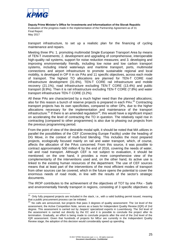

transport infrastructure, to set up a realistic plan for the financing of cycling maintenance and repairs.

Meeting three IPs: 1. promoting multimodal Single European Transport Area by means of TEN-T investments; 2. development and upgrading of comprehensive, interoperable high-quality rail systems, support for noise reduction measures; and 3. developing and improving environmentally friendly, including low noise and low carbon transport systems, including inland waterways and maritime transport, ports, multimodal connections and airport infrastructure to promote sustainable regional and local mobility, is developed in OP II in six PAs and 11 specific objectives, across each mode of transport. The highest TO allocations are planned for TEN-T CORE road infrastructure development (31.6%), TEN-T CORE rail infrastructure and mobile recovery (21.1%), road infrastructure excluding TEN-T CORE (13.4%) and public transport (8.9%). Then it is rail infrastructure excluding TEN-T CORE (7.8%) and water transport infrastructure TEN-T CORE (3.2%).

All these PAs are characterized by a much higher need than the planned allocations; also for this reason a bunch of reserve projects is prepared in each PAx.<sup>20</sup> Contracting transport projects has its own specificities, compared to other OPs, due to the higher allocations necessary for the implementation and maintenance of the transport infrastructure.<sup>21</sup> If there is an amended regulation<sup>18</sup>, this would have a significant impact on accelerating the level of contracting the TO in question. The relatively rapid rise in contracting (compared to other programmes) is also due to phasing out projects from the previous programming period.

From the point of view of the desirable modal split, it should be noted that MA utilizes in parallel the possibilities of the CEF (Connecting Europe Facility) under the heading of DG Move, in the context of multi-fund blending. This includes the most prepared projects, ecologically focused mainly on rail and water transport, which, of course, affects the allocation of the PAxs concerned. From this source, it was possible to contract approximately 500 million  $\epsilon$  by the end of 2016, covering the needs of water, rail and road transport. Although CEF is not subject to evaluation, it should be mentioned; on the one hand, it provides a more comprehensive view of the complementarity of the interventions used and, on the other hand, its active use is linked to the existing human resources of the department. The use of CEF sources means that at least part of the interventions of the most efficient modes of transport from other sources can be covered, which in the future opens the potential to cover the enormous needs of road mode, in line with the results of the sector's strategic documents.

The IROP contributes to the achievement of the objectives of TO7 by one PAx - Safe and environmentally friendly transport in regions, consisting of 3 specific objectives: a)

 20 Only fully prepared projects are included in the stack, i.e., with a valid building permit issued, meaning that a public procurement process can be initiated.

 $21$  No calls are announced, but projects that pass 3 degrees of quality assessment: The 1st level of the assessment, the Active Competition Note, serves as a basis for Independent Quality Review (IQR) of 2nd degree. This assessment is carried out by Jaspers' specialized experts in Luxembourg. The 3rd level of the assessment is carried out directly by the EC and it is possible to conclude the project after its termination. Gradually, an effort is being made to conclude projects after the end of the 2nd level of the IQR assessment. Given that hundreds of projects for MEur are currently in the Independent Quality Review stage, the adoption of this decision would considerably speed up spending.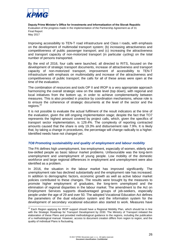

1

**Deputy Prime Minister's Office for Investments and Informatization of the Slovak Republic** Evaluation of the progress made in the implementation of the Partnership Agreement as of 31 **Final Report** May 2017

Improving accessibility to TEN-T road infrastructure and Class I roads, with emphasis on the development of multimodal transport system; (b) increasing attractiveness and competitiveness of public passenger transport; and (c) increasing the attractiveness and transport capacity of non-motorized transport (in particular cycling) on the total number of persons transported.

By the end of 2016, four calls were launched, all directed to RITS, focused on the development of strategic transport documents, increase of attractiveness and transport capacity of non-motorized transport, improvement of accessibility to TEN-T infrastructure with emphasis on multimodality and increase of the attractiveness and competitiveness of public transport; the calls for all of these areas were open at the time of the evaluation.

The combination of resources and tools OP II and IROP is a very appropriate approach harmonizing the overall strategic view on the state level (top down), with regional and local initiatives from the bottom up, in order to achieve complementarity between measures. This is also provided in practice by coordination mechanisms, whose role is to ensure the coherence of strategic documents at the level of the sector and the regions.<sup>22</sup>

It is not possible to evaluate the actual fulfilment of the result indicators at the time of the evaluation, given the still ongoing implementation stage; despite the fact that TO7 represents the highest amount covered by project calls, which, given the specifics of transport sector implementation, is 129.4%. The complexity of reporting contracted amounts caused that the share is only 19.3% and disbursement rate 7.9%. It is likely that, by taking a change in procedures, the percentage will change radically to a higher. Identified needs have not changed yet.

#### *TO8 Promoting sustainability and quality of employment and labour mobility*

The PA defines high unemployment, low employment, especially of women, elderly and low-skilled people as basic labour market problems. Unfavourable was the long-term unemployment and unemployment of young people. Low mobility of the domestic workforce and large regional differences in employment and unemployment were also identified as a problem.

In 2016, the situation in the labour market has improved significantly. The unemployment rate has declined substantially and the employment rate has increased. In addition to demographic factors, economic growth as well as active labour market policies contributed to these changes. The results were brought by the measures to promote higher employment of graduates, the long-term unemployed and the elimination of regional disparities in the labour market. The amendment to the Act on Employment Services supports disadvantaged groups of job-seekers, especially people under the age of 29 and over 50. The adopted Vocational Education Act defines the parameters of the dual education system and the information system for the development of secondary vocational education also started to work. Measures have

 $22$  Each Region applying for IROP support should have a Regional Mobility Plan, which should be in line with the Strategic Roadmap for Transport Development by 2030. The Ministry of Transport initiated the elaboration of these Plans and provided methodological guidance to the regions, including the publication of a methodological manual. However, access to document creation differs from region to region, and the quality of individual Plans is fluctuating.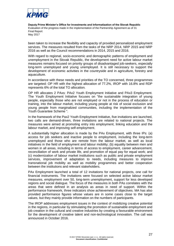

been taken to increase the flexibility and capacity of provided personalized employment services. The measures resulted from the tasks of the NRP 2014, NRP 2015 and NRP 2016 as well as the Council recommendations in 2014, 2015 and 2016.

With regard to regional, socio-economic and demographic patterns of employment and unemployment in the Slovak Republic, the development need for active labour market measures remains focused on priority groups of disadvantaged job-seekers, especially long-term unemployed and young unemployed. It is still necessary to support the development of economic activities in the countryside and in agriculture, forestry and aquaculture.

In accordance with these needs and priorities of the TO concerned, three programmes are targeted: OP HR with the highest allocation of 77.2%, IROP with 16.8% and RDP represents 6% of the total TO allocation.

OP HR allocates 2 PAxs: PAx2 Youth Employment Initiative and PAx3 Employment. The Youth Employment Initiative focuses on "the sustainable integration of young people, especially those who are not employed or not in the process of education or training, into the labour market, including young people at risk of social exclusion and young people from marginalized communities, including the implementation of the Youth Guarantee Scheme ".

In the framework of the Pax2 Youth Employment Initiative, five invitations are launched, two calls are demand-driven, three invitations are related to national projects. The measures were aimed at promoting entry into employment, linking education and the labour market, and improving self-employment.

A substantially higher allocation is made by the PAx Employment, with three IPs: (a) access for job seekers and inactive people to employment, including the long-term unemployed and those who are remote from the labour market, as well as local initiatives in the field of employment and labour mobility; (b) equality between men and women in all areas, including in terms of access to employment, career advancement, reconciliation of work and private life, and promotion of equal pay for equal work; and (c) modernization of labour market institutions such as public and private employment services, improvement of adaptation to needs, including measures to improve transnational job mobility as well as mobility programmes and better cooperation between the institutions and relevant stakeholders.

PAx Employment launched a total of 12 invitations for national projects, one call for financial instruments. The invitations were focused on selected active labour market measures, employment over 50, long-term unemployment, support for less developed regions and social dialogue. The focus of the measures in both PAs correlates with the areas that were defined in an analysis as areas in need of support. Within the performance framework, three indicators show achievement of objectives. MA has also provided performance figures whose values are in some cases close to the target values, but they mainly provide information on the numbers of participants.

The IROP addresses employment issues in the context of mobilizing creative potential in the regions, in particular by stimulating the promotion of sustainable employment and job creation in the cultural and creative industries by creating a favourable environment for the development of creative talent and non-technological innovation. The call was announced in October 2016.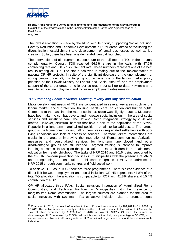

 $\overline{a}$ 

**Deputy Prime Minister's Office for Investments and Informatization of the Slovak Republic** Evaluation of the progress made in the implementation of the Partnership Agreement as of 31 **Final Report** May 2017

The lowest allocation is made by the RDP, with its priority Supporting Social Inclusion, Poverty Reduction and Economic Development in Rural Areas, aimed at facilitating the diversification, establishment and development of small businesses as well as job creation. So far, there has been one demand-driven call launched.

The interventions of all programmes contribute to the fulfilment of TOs in their mutual complementarity. Overall, TO8 reached 56.5% share in the calls, with 47.9% contracting rate and 8.8% disbursement rate. These numbers represent one of the best results among all TOs. The status achieved is mainly due to the implementation of national OP HR projects. In spite of the significant decrease of the unemployment of young people under 29, this target group remains one of the labour market policy priorities of the Slovak Ministry of Labour and Social Affairs<sup>23</sup> and the employment support of the target group is no longer so urgent but still up to date. Nevertheless, a need to reduce unemployment and increase employment rates remains.

#### *TO9 Promoting Social Inclusion, Tackling Poverty and Any Discrimination*

Major development needs of TO9 are concentrated in several key areas such as the labour market, social protection, housing, health care, education and human rights. Compared to the baseline, the rate of social exclusion was slightly reduced. Measures have been taken to combat poverty and increase social inclusion, in the area of social services and substitute care. The National Roma Integration Strategy by 2020 was drafted. However, structural barriers that hold a part of the population of the Slovak Republic in a long-term marginalized position, remain to be addressed. The largest group is the Roma communities, half of them lives in segregated settlements with poor living conditions and lack of access to services. Therefore, direct interventions are crucial in the area of improving the integration of Roma communities. Activation measures and personalized services for long-term unemployed and other disadvantaged groups are still needed. Targeted training is intended to improve learning outcomes, focusing on the participation of Roma children in the mainstream education from early childhood. The tasks of NRP 2015 and 2016, being supported by the OP HR, concern pre-school facilities in municipalities with the presence of MRCs and strengthening the contribution to childcare. Integration of MRCs is addressed in NRP 2015 through community centres and field social work.

To achieve TO9, as in TO8, there are three programmes. There is clear evidence of a direct link between employment and social inclusion. OP HR represents 47.8% of the total TO allocation, the allocation is comparable to IROP with 41.8% share and 10.4% contribution of RDP.

OP HR allocates three PAxs: Social Inclusion, Integration of Marginalized Roma Communities, and Technical Facilities in Municipalities with the presence of marginalized Roma communities. The largest sources are planned for the area of social inclusion, with two main IPs: a) active inclusion, also to promote equal

 $^{23}$  Compared to 2013, the total UoZ number in the UoZ record was reduced by 104,781 UoZ in 2016, by 26.26%. The decline is evident not only in relation to the total UoZ, but also to the UoZ up to 29 years, the state of which decreased by 38,206 UoZ in 2016, i.e. almost 33.36%. Of which the number of disadvantaged UoZ decreased by 21,586 UoZ, which is more than half, in a percentage of 50.47%, which causes serious problems in allocating sufficient UoZ to national projects and thus to fill the set measurable indicators.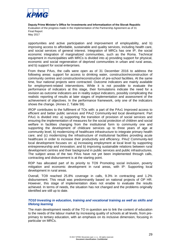

opportunities and active participation and improvement of employability, and b) improving access to affordable, sustainable and quality services, including health care, and social services of general interest. Integration of MRCs has one IP, the social economic integration of marginalized communities, such as the Roma. Technical equipment in municipalities with MRCs is divided into a) providing support for physical, economic and social regeneration of deprived communities in urban and rural areas, and b) support for social enterprises.

From these PAxs, the calls were open as of 31 December 2016 to address the following areas: support for access to drinking water, construction/reconstruction of community centres and construction/reconstruction of pre-school facilities. At the same time, four national projects were contracted. Outcome indicators are mainly available for employment-related interventions. While it is not possible to evaluate the performance of indicators at this stage, their formulations indicate the need for a revision as outcome indicators are in reality output indicators, possibly complicating the realistic reporting of results at later stages of implementation and assessment of the achievement of objectives. In the performance framework, only one of the indicators shows the change. (Annex 2, Table 59).

IROP contributes to the fulfilment of TOs with: a part of the PAx1 Improved access to efficient and better public services and PAx2 Community-led local development. Part PAx1 is divided into: a) supporting the transition of provision of social services and ensuring the implementation of measures for the social protection of children and social welfare in facilities changing from the institutional form to community one and supporting the development of childcare services up to three years of age at community level, b) modernizing of healthcare infrastructure to integrate primary health care; and (c) modernizing the infrastructure of institutional facilities providing acute healthcare in order to increase their productivity and efficiency. PAx2 Community-led local development focuses on: a) increasing employment at local level by supporting entrepreneurship and innovation; and b) improving sustainable relations between rural development centres and their background in public services and public infrastructures. The subject areas of the two PAxs have not yet been implemented through calls, contracting and disbursement is at the starting point.

RDP has allocated part of its priority to TO9 Promoting social inclusion, poverty mitigation and economic development in rural areas, with IP: Supporting local development in rural areas.

Overall, TO9 reached 25.8% coverage in calls, 9.3% in contracting and 1.2% disbursement. This result was predominantly based on national projects of OP HR. However, this stage of implementation does not enable to evaluate the results achieved. In terms of needs, the situation has not changed and the problems originally identified are still up to date.

#### *TO10 Investing in education, training and vocational training as well as skills and lifelong learning*

The main development needs of the TO in question are to link the content of education to the needs of the labour market by increasing quality of schools at all levels, from preprimary to tertiary education, with an emphasis on its inclusive dimension, focusing in particular on MRCs.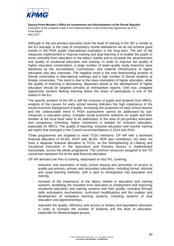

Although in the pre-primary education level the level of training in the SR is similar to the EU average, in the case of compulsory school attendance we do not achieve good results in the PISA pupils' international evaluation in the long term. The aim of the measures implemented to improve training and dual learning is to enable the pupils to move smoothly from education to the labour market and to increase the attractiveness and quality of vocational education and training. In order to improve the quality of higher education (universities), a large number of lower-quality study branches were abolished by the Accreditation Commission, and material infrastructure of higher education was also improved. The negative trend is the ever-deteriorating position of Slovak universities in international rankings and a high number of Slovak students at foreign universities. This trend is due to the mass orientation of higher education, while the quality of teaching is decreasing. Measures aimed at the development of higher education should be targeted primarily at metropolitan regions. Until now, untapped opportunity remains lifelong learning where the share of participants is one of the lowest in the EU.

The specific problem of the SR is still the inclusion of pupils and students from MRCs; analysis of the causes for early school leaving indicates the high importance of the social-economic background of pupils. Increasing the proportion of early school-leavers and the unfavourable trend in PISA assessment cannot be addressed by submeasures in education policy. Complex social economic solutions for pupils and their families at the local level need to be addressed. In the area of pre-primary education and compulsory schooling, higher investment is needed for inclusive education, especially for MRCs. The quality of teaching, inclusive education and teacher training are topics that emerged in the Council recommendations in 2014 and 2015.

Three programmes are targeted to meet TO10 intentions: OP HR with a dominant financial allocation of 63.6%, IROP with 36.4%. RDP also contributes, but does not have a separate financial allocation to TO10, as the Strengthening of Lifelong and Vocational Education in the Agriculture and Forestry sectors is implemented horizontally, across the whole programme. The common resources assigned to the TO concerned represent 5% of the total financial allocation.

OP HR devoted one PAx to training, elaborated on four IPs, covering:

- reduction and prevention of early school leaving and promotion of access to quality pre-primary, primary and secondary education, including formal, informal and usual learning methods, with a view to reintegration into education and training,
- increase of the importance of the labour market in education and training systems, facilitating the transition from education to employment and improving vocational education and training systems and their quality, including through skills anticipation mechanisms, curriculum modifications and the creation and development of workplace learning systems, including systems of dual education and apprenticeships,
- improved the quality, efficiency and access to tertiary and equivalent education in order to increase the number of students and the level of education, especially for disadvantaged groups,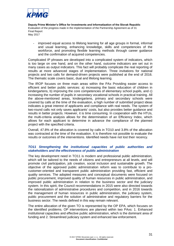

- improved equal access to lifelong learning for all age groups in formal, informal and usual learning, enhancing knowledge, skills and competencies of the workforce, and promoting flexible learning methods through career guidance and the confirmation of acquired competencies.

Complicated IP phrases are developed into a complicated system of indicators, which is too large on one hand, and on the other hand, outcome indicators are set out in many cases as output indicators. This fact will probably complicate the real reporting of results at more advanced stages of implementation. Three invitations for national projects and two calls for demand-driven projects were published at the end of 2016. The thematic scale covers basic, dual and lifelong learning.

The IROP focuses on three main areas within the PAx Providing easier access to efficient and better public services: a) increasing the basic education of children in kindergartens, b) improving the core competencies of elementary school pupils, and c) increasing the number of pupils in secondary vocational schools in practical training. All the above-mentioned areas, kindergartens, primary and secondary schools were covered by calls at the time of the evaluation, a high number of submitted project ideas indicates a great interest of applicants and compliance with real needs. The system of two-round calls not only saves applicants' costs, but also provides better guidance and results in better projects. However, it is time consuming. In cooperation with the HTUs, the multi-criteria analysis allows for the determination of an Efficiency Index, which allows for each applicant to determine in advance the compliance of the planned project with the specified criteria.

Overall, 47.8% of the allocation is covered by calls in TO10 and 3.8% of the allocation was contracted at the time of the evaluation. It is therefore not possible to evaluate the results or outcomes of the interventions. Identified needs have not lost their recency.

#### *TO11 Strengthening the institutional capacities of public authorities and stakeholders and the effectiveness of public administration*

The key development need in TO11 is modern and professional public administration, which will be tailored to the needs of citizens and entrepreneurs at all levels, and will promote civil participation, job creation, social inclusion and sustainable growth. The objective of the approved public administration reform was to contribute to a procustomer-oriented and transparent public administration providing fast, efficient and quality services. The adopted measures and conceptual documents were focused on public procurement, improved quality of human resources in public administration, and improved public administration in relation to the business sector and the judiciary system. In this spirit, the Council recommendations in 2015 were also directed towards the rationalization of administrative procedures and competition, and in 2016 towards the management of human resources in public administration, the judiciary system, public procurement and the solution of administrative and regulatory barriers for the business sector. The needs defined in this way remain relevant.

The entire allocation of the given TO is represented by the OP EPA, which focuses on the identified problems. OP interventions are planned within two PAxs: 1. Enhanced institutional capacities and effective public administration, which is the dominant area of funding and 2. Streamlined judiciary system and enhanced law enforcement.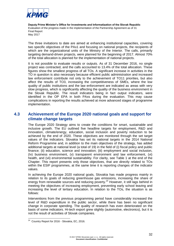

The three invitations to date are aimed at enhancing institutional capacities, covering two specific objectives of the PAx1 and focusing on national projects, the recipients of which are the organizational units of the Ministry of the Interior. The calls, primarily targeting demand-driven projects, were planned for the beginning of 2017. Almost 70% of the total allocation is planned for the implementation of national projects.

It is not possible to evaluate results or outputs. As of 31 December 2016, no single project was contracted, and the calls accounted to 13.4% of the total allocation. These figures show the smallest progress of all TOs. A significant increase in activities in the TO in question is also necessary because efficient public administration and increased law enforcement contribute not only to the achievement of TO11 priorities, but also affect the results of TO3, increasing the competitiveness of SMEs, where the low quality of public institutions and the law enforcement are indicated as areas with very slow progress, which is significantly affecting the quality of the business environment in the Slovak Republic. The result indicators being in fact output indicators, were identified in the OP EPA in both PAxs during the evaluation. This may cause complications in reporting the results achieved at more advanced stages of programme implementation.

## <span id="page-41-0"></span>**4.3 Achievement of the Europe 2020 national goals and support for climate change targets**

The Europe 2020 Strategy aims to create the conditions for smart, sustainable and inclusive growth. The EU outlined five headline targets for employment, R&D and innovation, climate/energy, education, social inclusion and poverty reduction to be achieved by the end of 2020. These objectives are monitored through the set target values of the indicators. Slovakia has set its national targets in the 2014 National Reform Programme and, in addition to the main objectives of the strategy, has added additional targets at national level (a total of 19) in the field of (i) fiscal policy and public finance; (ii) education, science and innovation; (iii) employment and social inclusion, (Iv) business environment, (v) transparent environment and law enforcement, (vi) health, and (vii) environmental sustainability. For clarity, see Table 1 at the end of the Chapter. This report presents only those objectives, that are directly related to TOs within the ESIF programmes, at the same time it is reporting changes of the indicator values.

In achieving the Europe 2020 national goals, Slovakia has made progress mainly in relation to its goals of reducing greenhouse gas emissions, increasing the share of energy from renewable sources and reducing poverty.<sup>24</sup> However, it still lags behind in meeting the objectives of increasing employment, preventing early school leaving and increasing the level of tertiary education. In relation to the TOs, the situation is as follows:

Interventions from the previous programming period have considerably increased the level of R&D expenditure in the public sector, while there has been no significant change in corporate spending. The quality of research has even deteriorated on the basis of some indicators. Hi-tech export grew slightly (automotive, electronics), but it is not the result of activities of Slovak companies.

 24 Country Report for 2016 - Slovakia, EC, 2016.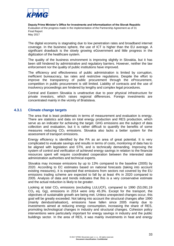

The digital economy is stagnating due to low penetration rates and broadband internet coverage. In the business sphere, the use of ICT is higher than the EU average. A significant drawback is the slowly growing eGovernment and little progress in the digitization of the healthcare system.

The quality of the business environment is improving slightly in Slovakia, but it has been still hindered by administrative and regulatory barriers. However, neither the law enforcement nor the quality of public institutions have improved.

The efficiency and effectiveness of public administration is limited by corruption, inefficient bureaucracy, tax rates and restrictive regulations. Despite the effort to improve the transparency of public procurement through the eProcurement, competition in public procurement is still limited. Liability of contracts and the use of insolvency proceedings are hindered by lengthy and complex legal procedures.

Central and Eastern Slovakia is unattractive due to poor physical infrastructure for private investors, which raises regional differences. Foreign investments are concentrated mainly in the vicinity of Bratislava.

#### **4.3.1 Climate change targets**

<span id="page-42-0"></span>The area that is least problematic in terms of measurement and evaluation is energy. There are statistics and data on total energy production and RES production, which serve as an indicator for achieving the target. GHG emissions are the subject of data collection and evaluation, but it is rather difficult to quantify the benefits of some measures reducing  $CO<sub>2</sub>$  emissions. Slovakia also lacks a better system for the assessment of transport emissions.

Energy efficiency is identified by the PA as an area of great potential. It is very complicated to evaluate savings and results in terms of costs, monitoring of data has to be aligned with legislation and STN, and is technically demanding. Improving the system of control and verification of achieved energy savings in relation to the financial resources spent will require coordinated cooperation between the interested state administration authorities and technical experts.

Slovakia may increase emissions by up to 13% compared to the baseline (2005) by 2020. According to EC estimates based on national forecasts (taking into account existing measures), it is expected that emissions from sectors not covered by the EU emissions trading scheme are expected to fall by at least 4% in 2020 compared to 2005. Analysis of data and trends indicates that this is a very conservative estimate and the actual reduction is likely to be greater.

Looking at total  $CO<sub>2</sub>$  emissions (excluding LULUCF), compared to 1990 (53,091.19  $CO<sub>2</sub>$  eq. Gg), emissions in 2014 were only 45.3%. Except for the transport, the objectives of sustainable growth are being met. Unless unexpected changes occur, this goal will be greatly exceeded. Not taking into account the structural changes after 1990 (mainly deindustrialisation), emissions have fallen since 2005 mainly due to investments aimed at reducing energy consumption, increasing the share of RES, promoting technological changes in industry and structural changes. Cohesion policy interventions were particularly important for energy savings in industry and the public buildings sector. In the area of RES, it was mainly investments in heat and energy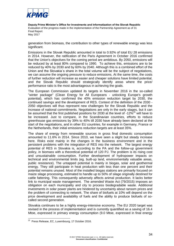

generation from biomass, the contribution to other types of renewable energy was less significant.

Emissions in the Slovak Republic amounted in total to 0.92% of total EU 28 emissions in 2014. However, the ratification of the Paris Agreement in October 2016 confirmed that the Union's objectives for the coming period are ambitious. By 2050, emissions will be reduced by at least 80% compared to 1990. To achieve this, emissions are to be reduced by 40% by 2030 and by 60% by 2040. Although this is a combined effort of the Union and the Slovakia´s share in the total volume will be the subject of negotiations, we can assume the ongoing pressure to reduce emissions. At the same time, the costs of further reduction will increase as easier and cheaper solutions have limited potential, and the Slovak Republic should strategically identify areas where the price/ performance ratio is the most advantageous in achieving the goals.

The European Commission updated its targets in November 2016 in the so-called "winter package" (Clean Energy for All Europeans - unlocking Europe's growth potential), which has confirmed the 40% emission reduction target by 2030, the continued savings and the development of RES. Context of the definition of the 2030 - 2050 objectives will thus represent new challenges for the Slovak Republic and the increase of national commitments. Negotiations are only in the early stages, but it can be assumed that the first published positions for 2030 at the level of -12%<sup>25</sup> will have to be increased. Just to compare, in the Scandinavian countries, efforts to reduce greenhouse gas emissions by 39% to 40% till 2030 have already been declared at the start of the negotiations, and in other EU countries, for example in Germany, France or the Netherlands, their initial emissions reduction targets are at least 35%.

The share of energy from renewable sources in gross final domestic consumption amounted to 11.6% in 2014. Since 2010, we have seen a slight but steady increase here. Risks exist mainly in the changes in the business environment and in the persistent problems with the integration of RES into the network. The largest energy potential of RES in Slovakia is, according to the PA and the follow-up government policy, in biomass with a theoretical potential of 120 PJ. The problem is its rising cost and unsustainable consumption. Further development of hydropower impacts on technical and environmental limits (eg. built-up land, environmentally valuable areas, public resistance). The untapped potential is mainly in biogas, solar and geothermal energy. They still participate in heat production with less than one percent and their potential remains unused. Most of the installed biogas stations are primarily focused on maize silage processing, estimated to handle up to 50% of silage originally destined for cattle fattening. This consequently adversely affects animal production. It lacks better link to municipal waste management. The amended Waste Act (79/2015) imposes an obligation on each municipality and city to process biodegradable waste. Additional investments in solar power plants are hindered by uncertainty about ransom prices and the problem of connecting to network. The share of biofuels at 10% will depend on the price development and availability of fuels and the ability to produce biofuels of socalled second generation.

Slovakia continues to be a highly energy-intensive economy. The EU 2020 target was revised in the process of implementation and is currently quantified as a saving of 16.4 Mtoe, expressed in primary energy consumption (9.0 Mtoe, expressed in final energy

 25 Press Release, EC, Luxembourg, 17 October 2016.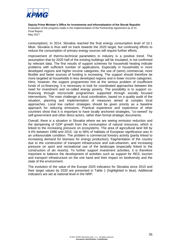

consumption). In 2014, Slovakia reached the final energy consumption level of 10.1 Mtoe. Slovakia is thus well on track towards the 2020 target, but continuing efforts to reduce the consumption of primary energy sources will require further efforts.

Improvement of thermo-technical parameters in industry is a positive trend. The assumption that by 2020 half of the existing buildings will be insulated, is not confirmed by relevant data. The first results of support schemes for household heating indicate problems with sufficient number of applications. Especially in households in more developed regions and higher income categories, the use of (semi) commercial, more flexible and faster sources of funding is increasing. The support should therefore be more targeted at households in less developed regions and in lower income categories. Here, however, the support programmes hint at the serious problem of insufficient funds of co-financing. It is necessary to look for coordinated approaches between the need for investment and so-called energy poverty. The possibility is to support cofinancing through microcredit programmes supported through socially focused interventions. The main challenge is local coordination, based on a quality audit of the situation, planning and implementation of measures aimed at complex local approaches. Local low carbon strategies should be given priority as a baseline approach for reducing emissions. Practical experience and experience of other countries show that it is important to have locally anchored strategies, "co-owned" by self-government and other direct actors, rather than formal strategic documents.

Overall, there is a situation in Slovakia where we are seeing emission reduction and the dampening of GDP growth from the consumption of natural resources, which is linked to the increasing pressure on ecosystems. The area of agricultural land fell by 4.4% between 1996 and 2015. Up to 56% of habitats of European significance was in an unfavourable condition. The problem is commercial forestry activity (partly linked to increasing demand for biomass for energy production), fragmentation of the country due to the construction of transport infrastructure and sub-urbanism, and increasing pressure on sport and recreational use of the landscape (especially linked to the construction of ski resorts). To further support investment activities, it is therefore important to balance the development of activities such as support for RES, tourism and transport infrastructure on the one hand and their impact on biodiversity and the state of the environment.

The evolution of the value of the Europe 2020 indicators for Slovakia since 2010 and their target values by 2020 are presented in Table 1 (highlighted in blue). Additional indicators are set at national level in the NRP.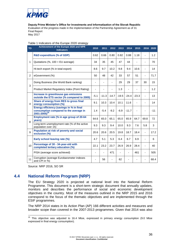

**Deputy Prime Minister's Office for Investments and Informatization of the Slovak Republic**

Evaluation of the progress made in the implementation of the Partnership Agreement as of 31 **Final Report** 

May 2017

| <b>TO</b>      | Achievement of the Europe 2020 and NPR<br><b>indicators</b>                                               | 2010   | 2011    | 2012    | 2013    | 2014    | 2015    |                          | 2016 2020 |
|----------------|-----------------------------------------------------------------------------------------------------------|--------|---------|---------|---------|---------|---------|--------------------------|-----------|
| 1              | <b>R&amp;D expenditure (% of GDP)</b>                                                                     | 0.62   | 0.66    | 0.80    | 0.82    | 0.88    | 1.18    | ÷,                       | 1.2       |
|                | Quotations $(\% , 100 = EU \n    average)$                                                                | 34     | 35      | 45      | 47      | 44      |         | ÷,                       | 70        |
|                | Hi-tech export (% in total export)                                                                        | 8.6    | 9.7     | 10.2    | 9.8     | 9.4     | 10.6    | $\overline{\phantom{0}}$ | 14        |
| $\overline{2}$ | eGovernment (%)                                                                                           | 50     | 48      | 42      | 33      | 57      | 51      | L.                       | 71.7      |
| 3              | Doing Business (the World Bank ranking)                                                                   |        |         |         | 29      | 29      | 37      | 30                       | 15        |
|                | Product Market Regulatory Index (Point Rating)                                                            |        |         |         | 1.3     | ÷,      |         | $\overline{a}$           | 1.2       |
|                | Increase in greenhouse gas emissions<br>outside the ETS sector (% compared to 2005)                       | $-5.1$ | $-11.3$ | $-14.7$ | $-19.5$ | $-24.4$ | $-23.3$ | $\overline{\phantom{0}}$ | 13        |
| $\overline{4}$ | Share of energy from RES to gross final<br>energy consumption (%)                                         | 9.1    | 10.3    | 10.4    | 10.1    | 11.6    |         | ÷,                       | 14        |
|                | Energy efficiency (savings in % in final<br>consumption compared to the average in<br>$2001 - 2005)^{26}$ | 1.4    | $-5.4$  | $-9.2$  | $-6.9$  | $-11.7$ |         | $\overline{a}$           | $-11$     |
| 8              | Employment rate (% in age group of 20-64<br>years)                                                        | 64.6   | 65.0    | 65.1    | 65.0    | 65.9    | 64.7    | 69.8                     | 72        |
|                | Long-term unemployment rate (% of the active<br>population over 15)                                       | 9.3    | 9.3     | 9.4     | 10.0    | 9.3     | 7.6     | 5.8                      | 3         |
| 9              | Population at risk of poverty and social<br>exclusion (%)                                                 | 20.6   | 20.6    | 20.5    | 19.8    | 18.7    | 18.4    | ä,                       | 17.2      |
|                | Early school leaving rate (%)                                                                             | 4.7    | 5.1     | 5.3     | 6.4     | 6.7     | 6.9     | $\overline{\phantom{0}}$ | 6         |
| 10             | Percentage of 30 - 34-year-old with<br>completed tertiary education (%)                                   | 22.1   | 23.2    | 23.7    | 26.9    | 26.9    | 28.4    | L.                       | 40        |
|                | PISA (average score achieved)                                                                             |        |         | 471     |         | ÷.      | 461     | ä,                       | 505       |
| 11             | Corruption (average Eurobarometer indexes<br>and CPI in %)                                                |        | 56      |         | 62      |         |         |                          | 68.4      |

<span id="page-45-0"></span>Source: NRP 2016, SO SR

1

## **4.4 National Reform Program (NRP)**

The EU Strategy 2020 is projected at national level into the National Reform Programme. This document is a short-term strategic document that annually updates, monitors and describes the performance of social and economic development objectives in the country. Most of the measures outlined in the NRP 2015 and 2016 correspond to the focus of the thematic objectives and are implemented through the ESIF programmes.

The NRP 2014 states in its Action Plan (AP) 166 different activities and measures and broader scope than covered in the 2007-2013 programmes. Given that 2014 was also

 $26$  This objective was adjusted to 16.4 Mtoe, expressed in primary energy consumption (9.0 Mtoe expressed in final energy consumption).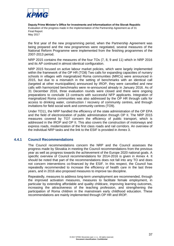

the first year of the new programming period, when the Partnership Agreement was being prepared and the new programmes were negotiated, several measures of the National Reform Programme were implemented from the finishing programmes of the 2007-2013 period.

NRP 2015 contains the measures of the four TOs (7, 8, 9 and 11) which in NRP 2016 and its AP continued in almost identical configuration.

NRP 2015 focused on active labour market policies, which were largely implemented within the framework of the OP HR (TO8) Two calls for expanding capacities of nursery schools in villages with marginalized Roma communities (MRCs) were announced in 2015, but due to a mismatch in the setting of benchmarks with an identical call (targeted at other municipalities) announced by IROP, they were cancelled and new calls with harmonized benchmarks were re-announced already in January 2016. As of 31 December 2016, three evaluation rounds were closed and there were ongoing preparations to conclude 13 contracts with successful NFP applicants. Integration of marginalized Roma communities was also addressed by the OP HR through calls for access to drinking water, construction / recovery of community centres, and through invitations for field social work and community centres (TO9).

Under TO11, the NRP handled the efficiency of the state administration of the OP EPA and the field of electronization of public administration through OP II. The NRP 2015 measures covered by TO7 concern the efficiency of public transport, which is addressed in the IROP and OP II. This also covers the construction of motorways and express roads, modernization of the first class roads and rail corridors. An overview of the individual NRP tasks and the link to the ESIF is provided in Annex 3.

#### **4.4.1 Council Recommendations**

<span id="page-46-0"></span>The Council recommendations concern the NRP and the Council assesses the progress made by Slovakia in meeting the Council recommendations from the previous year as well as progress towards the achievement of the Europe 2020 national goals. A specific overview of Council recommendations for 2014-2016 is given in Annex 4. It should be noted that part of the recommendations does not fall into any TO and does not concern interventions co-financed by the ESIF. In this respect, the Council has repeatedly recommended to increase the efficiency of health care in the last three years, and in 2016 also proposed measures to improve tax discipline.

Repeatedly, measures to address long-term unemployment are recommended, through the improved activation measures, measures to facilitate female employment, in particular by extending affordable and quality childcare, improving learning outcomes, increasing the attractiveness of the teaching profession, and strengthening the participation of Roma children in the mainstream early childhood education. These recommendations are mainly implemented through OP HR and IROP.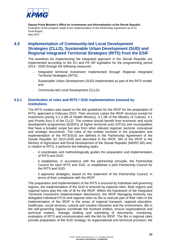

## <span id="page-47-0"></span>**4.5 Implementation of Community-led Local Development Strategies (CLLD), Sustainable Urban Development (SUD) and Regional Integrated Territorial Strategies (RITS) from the ESIF**

The baselines for implementing the integrated approach in the Slovak Republic are implemented according to the EU and PA SR legislation for the programming period 2014 - 2020 through the following measures:

- Integrated territorial investment implemented through Regional Integrated Territorial Strategies (RITS);
- Sustainable Urban Development (SUD) implemented as part of the RITS model; and
- <span id="page-47-1"></span>- Community-led Local Development (CLLD).

#### **4.5.1 Distribution of roles and RITS / SUD implementation ensured by institutions**

The RITS creation was based on the MA guidelines for the IROP for the preparation of RITS, approved in February 2015. Their structure copies the IROP structure except for investment priority 2.1.3 (IB of Health Ministry), 3.1 (IB of the Ministry of Culture), 4.1 and Priority Axis 5 of the CLLD. The content should benefit from economic and social development programmes (ESDPs) of higher territorial units (HTUs) and municipalities that have a broader scope but also from other relevant regional, sectoral, conceptual and strategic documents. The roles of the entities involved in the preparation and implementation of the RITS/SUD are defined in the Partnership Agreement of the Slovak Republic for 2014-2020 and described in the IROP. MA of the IROP is the Ministry of Agriculture and Rural Development of the Slovak Republic (MARD SR) and, in relation to RITS, it performs the following tasks:

- it coordinates and methodologically guides the preparation and implementation of RITS and SUD;
- it establishes, in accordance with the partnership principle, the Partnership Council for each RITS and SUD, or establishes a joint Partnership Council for the RITS and SUD;
- it approves strategies, based on the statement of the Partnership Council, in terms of their compliance with the IROP.

The preparation and implementation of the RITS is ensured by individual self-governing regions, the implementation of the SUD is ensured by regional cities. Both regions and regional towns play the role of IB for the IROP. Within the framework of the Integrated Territorial Investment Implementation Mechanism, the IROP Managing Authority has delegated individual HTUs and regional cities as IBs to execute part of their roles in the implementation of the IROP in the areas of regional transport, regional education, healthcare, social services, cultural and creative industries and the environment. IBs in the self-governing regions coordinate the involved entities, ensure organizational and technical matters, manage drafting and submitting of documents, monitoring, evaluation of RITS and communication with the MA for IROP. The IBs in regional cities provide preparation of the SUD strategy, its organizational and technical provision, the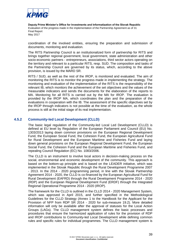

coordination of the involved entities, ensuring the preparation and submission of documents, monitoring and evaluation.

The RITS Partnership Council is an institutionalized form of partnership for RITS and brings together regional government, local government, state administration and other socio-economic partners - entrepreneurs, associations, third sector actors operating on the territory and relevant to a particular RITS, resp. SUD. The composition and tasks of the Partnership Council are governed by its status, which, according to the above provision, is issued by the MARD SR.

RITS / SUD, as well as the rest of the IROP, is monitored and evaluated. The aim of monitoring the RITS is to monitor the progress made in implementing the strategy. The monitoring and evaluation of the implementation of the RITS is the responsibility of the relevant IB, which monitors the achievement of the set objectives and the values of the measurable indicators and sends the documents for the elaboration of the reports to MA. Monitoring for all RITS is carried out by the MA for IROP. The evaluation is provided by the IROP MA, which coordinates the plan and the preparation of the evaluations in cooperation with the IB. The assessment of the specific objectives set by the IROP through indicators is not possible at the time of the evaluation, as the whole process is still at the initial stage of its real implementation.

#### **4.5.2 Community-led Local Development (CLLD)**

<span id="page-48-0"></span>The basic legal regulation of the Community-led Local Led Development (CLLD) is defined at EU level by Regulation of the European Parliament and Council (EU) No. 1303/2013 laying down common provisions on the European Regional Development Fund, the European Social Fund, the Cohesion Fund, the European Agricultural Fund for Rural Development and the European Maritime and Fisheries Fund and laying down general provisions on the European Regional Development Fund, the European Social Fund, the Cohesion Fund and the European Maritime and Fisheries Fund, and repealing Council Regulation (EC) No. 1083/2006.

The CLLD is an instrument to involve local actors in decision-making process on the social, environmental and economic development of the community. This approach is based on the bottom-up principle and is based on the LEADER initiative, which was implemented in the Slovak Republic through the Rural Development Programme 2007 - 2013. In the 2014 - 2020 programming period, in line with the Slovak Partnership Agreement 2014 - 2020, the CLLD is co-financed by the European Agricultural Fund for Rural Development (EAFRD) through the Rural Development Programme 2014 - 2020 (RDP) and the European Regional Development Fund (ERDF) through the Integrated Regional Operational Programme 2014 - 2020 (IROP).

The framework for the CLLD is outlined in the CLLD 2014 - 2020 Management System, which was approved in April 2015, and further specified in the Methodological Guidelines for the CLLD Strategy (Annex 1 to the Handbook for the Applicant for the Provision of NFP from RDP SR 2014 - 2020 for sub-measure 19.2). More detailed information will only be available after the approval of statuses for the Local Action Groups (LAGs). The CLLD management system defines the basic processes and procedures that ensure the harmonized application of rules for the provision of RDP and IROP contributions to Community-led Local Development while defining common rules and specific rules for individual programmes. The CLLD management system is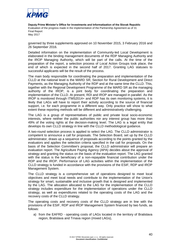

governed by three supplements approved on 10 November 2015, 3 February 2016 and 26 September 2016.

Detailed information on the implementation of Community-led Local Development is elaborated in the binding management documents of the RDP Managing Authority and the IROP Managing Authority, which will be part of the calls. At the time of the preparation of the report, a selection process of Local Action Groups took place, the end of which is expected in the second half of 2017. Granting LAG statuses to successful applicants will be the result of the process.

The main body responsible for coordinating the preparation and implementation of the CLLD at the national level is the MARD SR, Section for Rural Development and Direct Payments, as the Managing Authority of the RDP and at the same time the CLLD. This, together with the Regional Development Programme of the MARD SR as the managing authority of the IROP, is a joint body for coordinating the preparation and implementation of the CLLD. At present, RDI and IROP are managed in parallel. As the IROP is monitored through ITMS2014+ and RDP has its own monitoring systems, it is likely that LAGs will have to report their activity according to the source of financial support, i.e. for each programme in a different way. Only practice will show to what extent these reporting methods will be different and administratively challenging.

The LAG is a group of representatives of public and private local socio-economic interests, where neither the public authorities nor any interest group has more than 49% of the voting rights at the decision-making level. The LAG is a legal entity that develops its own CLLD strategy in line with the CLLD methodological guidance.

A two-round selection process is applied to select the LAG. The CLLD administrator is competent to announce a call for proposals. The Selection Board, set up by the CLLD administrator, draws up a sequence of proposals according to the points granted by the evaluators and applies the selection criteria specified in the call for proposals. On the basis of the Selection Committee's proposal, the CLLD administrator will prepare an evaluation report. The Agriculture Paying Agency (APA) decides about the approval of strategy and granting the status on the basis of the evaluation report. The LAG granted with the status is the beneficiary of a non-repayable financial contribution under the RDP and the IROP. Performance of LAG activities within the implementation of the CLLD strategy is funded in accordance with the provisions of the ESIF, RDP and IROP Management System.

The CLLD strategy is a comprehensive set of operations designed to meet local objectives and meet local needs and contribute to the implementation of the Union's strategy for smart, sustainable and inclusive growth that is designed and implemented by the LAG. The allocation allocated to the LAG for the implementation of the CLLD strategy includes expenditure for the implementation of operations under the CLLD strategy, as well as expenditures related to the operating costs of the LAG and the recovery costs of the CLLD strategy.

The operating costs and recovery costs of the CLLD strategy are in line with the provisions of the ESIF, RDP and IROP Management System financed by two funds, as follows:

a) from the EAFRD - operating costs of LAGs located in the territory of Bratislava region, Bratislava and Trnava region (mixed LAGs),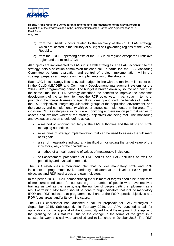

- b) from the EAFRD costs related to the recovery of the CLLD LAG strategy, which are located in the territory of all eight self-governing regions of the Slovak Republic,
- c) from the ERDF operating costs of the LAG in all regions except the Bratislava region and the mixed LAGs.

All projects are implemented by LAGs in line with strategies. The LAG, according to the strategy, sets a selection commission for each call. In particular, the LAG Monitoring Committee performs evaluation and control of project implementation within the strategy, prepares and reports on the implementation of the strategy.

Each LAG in its strategy lists its overall budget, in line with the maximum limits set out in the CLLD (LEADER and Community Development) management system for the 2014 - 2020 programming period. The budget is broken down by source of funding. At the same time, the CLLD Strategy describes the benefits to improve the economic development of the territory, to meet the RDP objectives, in particular in terms of promoting the competitiveness of agriculture, forestry and food, the benefits of meeting the IROP objectives, integrating vulnerable groups of the population, environment, and the synergy and complementarity with other strategies implemented in the area. The individual CLLD strategies also include a monitoring and evaluation part that serves to assess and evaluate whether the strategy objectives are being met. The monitoring and evaluation section should define at least:

- a method of reporting regularly to the LAG authorities and the RDP and IROP managing authorities,
- milestones of strategy implementation that can be used to assess the fulfilment of its goals,
- a set of measurable indicators, a justification for setting the target value of the indicators, ways of their calculation,
- a method of annual reporting of values of measurable indicators,
- self-assessment procedures of LAG bodies and LAG activities as well as periodicity and evaluation method.

The LAG establishes a monitoring plan that includes mandatory IROP and RDP indicators at programme level, mandatory indicators at the level of IROP specific objectives and RDP focal areas and own indicators.

In the period 2014 - 2020, demonstrating the fulfilment of targets should be in the form of measurable indicators for outputs, e.g. the number of people who have received training, as well as the results, e.g. the number of people getting employment as a result of training. Monitoring should be done through indicators that include mandatory IROP and RDP indicators at programme level and at the IROP specific objectives and RDP focus areas, and/or its own indicators.

The CLLD coordinator has launched a call for proposals for LAG strategies in September 2015. Subsequently, in February 2016, the APA launched a call for applications for the approval of the Community-led Local Development Strategy and the granting of LAG statutes. Due to the change in the terms of the grant in a substantial way, this call was cancelled and re-launched in October 2016. The RDP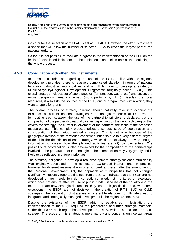

indicator for the selection of the LAG is set at 50 LAGs. However, the effort is to create a space that will allow the number of selected LAGs to cover the largest part of the national territory.

So far, it is not possible to evaluate progress in the implementation of the CLLD on the basis of established indicators, as the implementation itself is only at the beginning of the whole process.

#### **4.5.3 Coordination with other ESIF instruments**

<span id="page-51-0"></span>In terms of coordination regarding the use of the ESIF, in line with the regional development priorities, there is relatively complicated situation. In terms of national legislation, almost all municipalities and all HTUs have to develop a strategy - Municipality/City/Regional Development Programme (originally called ESDP). This overall strategy includes set of sub-strategies (for transport, waste, etc.) and covers the entire geographic area concerned (municipality, city, HTU). Besides the local resources, it also lists the sources of the ESIF, and/or programmes within which, they want to apply for grants.

The overall process of strategy building should naturally take into account the existence of current national strategies and strategic materials at EU level. In formulating each strategy, the use of the partnership principle is declared, but the composition of the partnership naturally varies depending on the geographic region that covers the strategy, the current involvement of the partners, the focus of the proposed measures, etc. This complex process raises a serious issue of coordination and consideration of the various related strategies. This is not only because of the geographic overlap of the territories concerned, but also due to a very different degree of detail in the description of each strategy, which does not always provide enough information to assess how the planned activities are(not) complementary. The possibility of coordination is also determined by the composition of the partnerships involved in the preparation of the strategies. Their composition may vary greatly and is likely to be reflected in different priorities.

The statutory obligation to develop a real development strategy for each municipality was originally developed in the context of EU-funded interventions. In practice, however, for different reasons, it was often ignored, and even after the amendment of the Regional Development Act, the approach of municipalities has not changed significantly. Recently reported findings from the  $SAO<sup>27</sup>$  indicate that the ESDP are not developed or are merely formal, incorrectly compiled, not monitored or evaluated, which does not ensure effective use of public funds. Because of their quality and the need to create new strategic documents, they lose their justification and, with some exceptions, the ESDP are not decisive in the creation of RITS, SUD or CLLD strategies. The preparation of strategies at different levels does not ultimately lead to integrated and strategically managed development in the regions (Annex 7, 8).

Despite the existence of the ESDP, which is established in legislation, the implementation of the ESIF required the preparation of further strategic materials. Under the IROP, each region has developed the RITS, which also includes the SUD strategy. The scope of this strategy is more narrow and concerns only certain areas

 27 SAO, Effectiveness of public funds spent on communal services, 2016.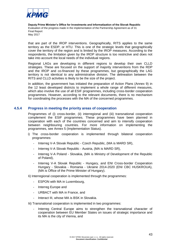

that are part of the IROP interventions. Geographically, RITS applies to the same territory as the ESDP, or HTU. This is one of the strategic levels that geographically cover the territory of the region and is limited by the IROP measures. According to the respondents, the limitation given by the IROP structure is too restrictive and does not take into account the local needs of the individual regions.

Regional LAGs are developing in different regions to develop their own CLLD strategies. These are focused on the support of majority interventions from the RDP and the IROP and co-financed by these programmes, but geographically the LAG territory is not identical to any administrative division. The delineation between the RITS and CLLD activities is likely to be the size of the project.

In addition, the government has initiated the preparation of Action Plans (Annex 9) in the 12 least developed districts to implement a whole range of different measures, which also involve the use of all ESIF programmes, including cross-border cooperation programmes. However, according to the relevant documents, there is no mechanism for coordinating the processes with the MA of the concerned programmes.

#### **4.5.4 Progress in meeting the priority areas of cooperation**

<span id="page-52-0"></span>Programmes of (i) cross-border, (ii) interregional and (iii) transnational cooperation complement the ESIF programmes. These programmes have been planned in cooperation with each of the countries concerned and aim to intensify cooperation between neighbouring countries. For more information on implementing the programmes, see Annex 5 (Implementation Status).

- i) The cross-border cooperation is implemented through bilateral cooperation programmes:
	- Interreg V-A Slovak Republic Czech Republic, (MA is MARD SR),
	- Interreg V-A Slovak Republic Austria, (MA is MARD SR),
	- Interreg V-A Poland Slovakia, (MA is Ministry of Development of the Republic of Poland),
	- Interreg V-A Slovak Republic Hungary, and ENI Cross-border Cooperation Hungary - Slovakia - Romania - Ukraine 2014-2020 (ENI CBC HUSKROUA), (MA is Office of the Prime Minister of Hungary).

Ii) Interregional cooperation is implemented through the programmes:

- ESPON with MA in Luxembourg,
- Interreg Europe and
- URBACT with MA in France, and
- Interact III, whose MA is BSK in Slovakia.
- Iii) Transnational cooperation is implemented in two programmes:
	- Interreg Central Europe aims to strengthen the transnational character of cooperation between EU Member States on issues of strategic importance and its MA is the city of Vienna, and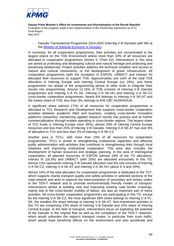

- Danube Transnational Programme 2014-2020 (Interreg V-B Danube) with MA at the [Ministry of National Economy in Hungary.](http://www.interreg-danube.eu/)

In summary, for all cooperation programmes, their activities are concentrated to the largest extent on the TO6 Environment where more than 33% of all resources are allocated to cooperation programmes (Annex 5, Chart 62). Interventions in this area are aimed at protecting and developing cultural and natural heritage and protecting and preserving biodiversity. Project activities address the technical condition and access to natural and cultural monuments, or the development of green infrastructure. All cooperation programmes (with the exception of ESPON, URBACT and Interact III) allocated their resources to support TO6. Approximately one sixth of the total TO6 allocation is Interreg Europe and Interreg Central Europe (ca 18%), and these programmes run ahead of the programming period of other tools to integrate their results into programming. Around 12-16% of TO6 consists of Interreg V-B Danube programmes and Interreg V-A PL-SK, Interreg V-A SK-HU and Interreg V-A SK-CZ cross-border cooperation programmes. Nearly 6% belongs to Interreg V-A SK-AT and the lowest share of TO6, less than 3%, belongs to ENI CBC HUSKROUA.

A significant share (almost 17%) of all resources for cooperation programmes is allocated to TO1 Research and Development that supports cross-border cooperation activities between academic R&D and business, creating cross-border innovation platforms (networks), transferring applied research results into practice and its further commercialization through entities operating in cross-border regions. The largest share of TO1 funds is Interreg Europe (over 35%), almost 29% of Interreg Central Europe resources and less than 25% of Interreg V-B Danube. Interreg V-A SK-AT has over 8% of allocation in TO1 and less than 2% of Interreg V-A SK-CZ.

Another area is TO11, with more than 15% of all resources for cooperation programmes. TO11 is aimed at strengthening institutional capacities and effective public administration with activities that contribute to strengthening links through local initiatives and improving institutional cooperation. This area also includes the development of human resources and strategic planning. In the area of interregional cooperation, all planned resources of ESPON (almost 18% of the TO allocation), Interact III (16.3%) and URBACT (with 33%) are allocated exclusively to this TO. Almost 13% represents Interreg V-B Danube allocation and the rest consists of Interreg V-A SK-CZ, Interreg V-A SK-AT and Interreg V-A SK-HU (about 4, 6 and 10%).

Almost 14% of the total allocation for cooperation programmes is dedicated to the TO7, which supports mainly transport quality and safety activities in selected sections of the road network and aims to improve the interconnection of secondary and tertiary nodes to the TEN-T network and to promote environmentally friendly modes of transport. Interventions aimed at building new and improving existing road border crossings, mainly due to the cross-border mobility of labour, are also an important part of these activities. All cross-border cooperation programmes are participating in this TO, except for the Interreg V-A SK-CZ, the most significant 28% share belongs to Interreg V-A PL-SK, the smallest 5% share belongs to Interreg V-A SK-AT. Non-investment activities in this TO are comprising 23% share of Interreg V-B Danube and 15% share of Interreg Central Europe. In the field of transport, interventions focus on exploiting the potential of the Danube in the original flow as well as the completion of the TEN-T networks, which would unburden the region's transport routes, in particular from truck traffic, which would have beneficial effects on the environment and also accelerate and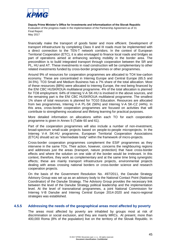

financially make the transport of goods faster and more efficient. Development of transport infrastructure by completing Class II and III roads must be implemented with a direct connection to the TEN-T network corridors. In the context of European Territorial Cooperation (ETC), it is also envisaged to finance local roads and bridges as part of operations aimed at enhancing working mobility in the border area. The precondition is to build integrated transport through cooperation between the SR and PL, HU and AT. These investments in road construction will be complementary to other related investments funded by cross-border programmes or other programmes.

Around 9% of resources for cooperation programmes are allocated to TO4 low-carbon economy. These are concentrated in Interreg Europe and Central Europe (65.5 and 34.5%). TO3 Small and Medium Business has a 7% share of the total allocation. Most of these resources (88%) were allocated to Interreg Europe, the rest being financed by the ENI CBC HUSKROUA multilateral programme. 4% of the total allocation is planned for TO8 employment. 64% of Interreg V-A SK-HU is involved in the above sources, and the remaining part is the ENI CBC HUSKROUA multilateral programme. The smallest 1% share of total resources is planned for TO10 Education. Resources are allocated from two programmes, Interreg V-A PL-SK (56%) and Interreg V-A SK-CZ (44%). In this area, cross-border cooperation programmes are focused on activities that will contribute to strengthening vocational and lifelong learning for practical purposes.

More detailed information on allocations within each TO for each cooperation programme is given in Annex 5 (Table 60 and 61).

Part of the cooperation programmes will also include a number of non-investment, broad-spectrum small-scale projects based on people-to-people microprojects. In the Interreg V-A SK-HU programme, European Territorial Cooperation Associations (ETCA) should act as "intermediate body" within the framework of micro-projects.

Cross-border cooperation programmes complement the ESIF programmes as they intervene in the same TOs. Their action, however, concerns the neighbouring regions and addresses just the areas (transport, nature protection) that have cross-border effects and where the solution on one side of the border would be irrelevant. In this context, therefore, they work as complementary and at the same time bring synergistic effects; these are mainly transport infrastructure projects, environmental projects dealing with areas crossing national borders or cross-border science and research cooperation projects.

On the basis of the Government Resolution No. 497/2011, the Danube Strategy Advisory Group was set up as an advisory body to the National Contact Point (National Coordinator) of the Danube Strategy. The Advisory Group provides the necessary link between the level of the Danube Strategy political leadership and the implementation level. At the level of transnational programmes, a joint National Commission for Interreg V-B Danube and Interreg Central Europe 2014-2020 and macro-regional strategies was established.

#### **4.5.5 Addressing the needs of the geographical areas most affected by poverty**

<span id="page-54-0"></span>The areas most affected by poverty are inhabited by groups most at risk of discrimination or social exclusion, and they are mainly MRCs. At present, more than 400,000 Roma (8% of the population) live on the territory of the Slovak Republic. In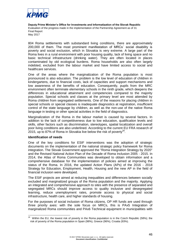

804 Roma settlements with substandard living conditions, there are approximately 200,000 of them. The most prominent manifestation of MRCs´ social disability is poverty and social exclusion, which in Slovakia is very extreme. A large part of the Roma lives in a rural environment with poor housing quality, lack of living space and no basic technical infrastructure (drinking water). They are often located in places contaminated by old ecological burdens. Roma households are also often largely indebted, excluded from the labour market and have limited access to social and healthcare services.

One of the areas where the marginalization of the Roma population is most pronounced is also education. The problem is the low level of education of children in kindergartens, due to financial costs, lack of capacities and support mechanisms and low awareness of the benefits of education. Consequently, pupils from the MRC environment often terminate elementary schools in the ninth grade, which deepens the differences in educational attainment and competencies compared to the majority population. Special schools and classes at the primary level are most attended by Roma children from segregated settlements. One of the reasons for placing children in special schools or special classes is inadequate diagnostics at registration, insufficient control of the state language by children, as well as the non-use of the native Roma language in testing or other special activities in the field of diagnostics.

Marginalization of the Roma in the labour market is caused by several factors. In addition to the lack of competitiveness due to low education, qualification levels and skills, other factors such as discrimination, stereotypes, spatial localization and overall poor living conditions are also underlined. According to the current EU FRA research of 2015, up to 87% of Roma in Slovakia live below the risk of poverty<sup>28</sup>.

#### **Identification of needs**

One of the key conditions for ESIF interventions was the adoption of strategic documents on the implementation of the national strategic policy framework for Roma integration. The Slovak Government approved the "Roma Integration Strategy by 2020" and the Revised National Action Plan of the Decade of Roma Inclusion 2005 - 2015. In 2014, the Atlas of Roma Communities was developed to obtain information and a comprehensive database for the implementation of policies aimed at improving the status of the Roma. In 2016, the updated Action Plans (APs) of the 2016 - 2018 Strategy for Education, Employment, Health, Housing and the new AP in the field of financial inclusion were developed.

The ESIF projects are aimed at reducing inequalities and differences between socially excluded and marginalized groups of the Roma population and the majority. Applying an integrated and comprehensive approach to sites with the presence of separated and segregated MRCs should improve access to quality inclusive and desegregated learning, reduce unemployment rates, promote access to physical and social infrastructure, health care, and higher standards of housing.

For the purposes of social inclusion of Roma citizens, OP HR funds are used through three priority axes: with the sole focus on MRCs, this is PAx5 Integration of marginalized Roma communities and PAx6 Technical equipment in municipalities with

<sup>&</sup>lt;u>28</u><br><sup>28</sup> Within the EU, the lowest risk of poverty in the Roma population is in the Czech Republic (58%); the risk of poverty of the Roma population in Spain (98%), Greece (96%), Croatia (93%).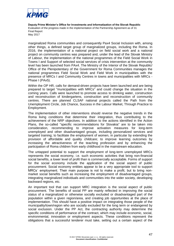

marginalized Roma communities and consequently Pax4 Social Inclusion with, among other things, a defined target group of marginalized groups, including the Roma. In 2016, the implementation of a national project on field social work and a national project on community centres was prepared and, under the lead of the Slovak Ministry of Labour, the implementation of the national programmes of the Field Social Work in Towns I and Support of selected social services of crisis intervention at the community level has been launched from PAx4. The Ministry of the Interior of the Slovak Republic/ Office of the Plenipotentiary of the Government for Roma Communities manages the national programmes Field Social Work and Field Work in municipalities with the presence of MRCs I and Community Centres in towns and municipalities with MRCs - Phase I (PAx5).

Within the OP HR, calls for demand-driven projects have been launched and are being prepared to target "municipalities with MRCs" and could change the situation in the coming years. Calls were launched to promote access to drinking water, construction and reconstruction of kindergartens, construction and reconstruction of community centres. There are planned CLSAF national projects called the Path from the Unemployment Circle, Job Chance, Success in the Labour Market, Through Practice to Employment.

The implementation of other interventions should reverse the negative trends in the Roma living conditions that determine their integration, thus contributing to the achievement of the NRP objectives. In addition to the actions identified in the Action Plans, the so-called "specific recommendations for Slovakia" are to be taken into consideration, recommending to improve activation measures for long-term unemployed and other disadvantaged groups, including personalized services and targeted training; to facilitate the employment of women, in particular by extending the provision of affordable and quality childcare; to improve learning outcomes by increasing the attractiveness of the teaching profession and by enhancing the participation of Roma children from early childhood in the mainstream education.

The untapped potential to support the employment of long-term unemployed MRCs represents the social economy, i.e. such economic activities that bring non-financial social benefits, a lower level of profit than is commercially acceptable. Forms of support for the social economy include the application of the social aspect of public procurement. Social economy entities appear to be a very appropriate tool to support MRCs´ employment. Their main purpose is not to make a profit, but to bring nonmarket social benefits such as increasing the employment of disadvantaged groups, integrating marginalized individuals and communities into the wider society, developing backward regions, etc.

An important tool that can support MRC integration is the social aspect of public procurement. The benefits of social PP are mainly reflected in improving the social status of a marginalized or otherwise socially excluded or disadvantaged part of the population within a given region/area, and creating job opportunities at the place of implementation. This should have a positive impact on integrating those people of the municipality/town/region who are socially excluded for the long term or endangered by social exclusion. Under the PP Act, the contracting authority may determine the specific conditions of performance of the contract, which may include economic, social, environmental, innovation or employment aspects. These conditions represent the obligations that a successful tenderer must take, setting out a certain aspect of the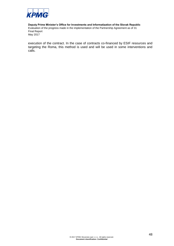

execution of the contract. In the case of contracts co-financed by ESIF resources and targeting the Roma, this method is used and will be used in some interventions and calls.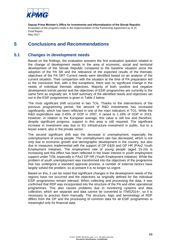

# <span id="page-58-0"></span>**5 Conclusions and Recommendations**

## **5.1 Changes in development needs**

<span id="page-58-1"></span>Based on the findings, the evaluation answers the first evaluation question related to the change of development needs in the area of economic, social and territorial development of the Slovak Republic compared to the baseline situation since the adoption of the PA SR and the relevance of the expected results of the thematic objectives of the PA SR? Current needs were identified based on an analysis of the current situation. Their comparison with the situation at the time of PA preparation led to the conclusion that, with a few exceptions, there was no significant change in the needs of individual thematic objectives. Majority of both, positive and negative development trends persist and the objectives of ESIF programmes are currently in the same form as originally set. A brief summary of the identified needs and objectives set out in the ESIF programmes is given in Table 2 below.

The most significant shift occurred in two TOs. Thanks to the interventions of the previous programming period, the amount of R&D investments has increased significantly, which has been reflected in one of the main indicators in TO1. While the R&D expenditure was 0.45% of GDP in 2007, it raised to 1.18% of GDP in 2015. However, in relation to the European average, this value is still low and therefore, despite significant progress, support in this area is still required. The significant increase in investment was due to EU infrastructure investment in public, but to a lesser extent, also in the private sector.

The second significant shift was the decrease in unemployment, especially the unemployment of young people. The unemployment rate has decreased, which is not only due to economic growth and demographic development in the country, but also due to measures implemented with the support of OP E&SI and OP HR (PAx2 Youth Employment Initiative). The employment rate of young people (aged 15-24) is increasing and this effect has been reflected in the lower interest in youth employment support under TO8, especially in PAx2 OP HR (Youth Employment Initiative). While the problem of youth unemployment was transformed into the objectives of the programme that has undergone a standard approval process, a number of external factors have largely solved the problem, so at present it is no longer so urgent.

Based on this, it can be noted that significant changes in the development needs of the regions have not occurred and the objectives as originally defined for the individual ESIF programmes remain relevant. When collecting and processing the data, it was confirmed that RDP was incorporated into the structure of the PA and other operational programmes. This also causes problems due to monitoring systems and data collection, which are separate and data cannot be converted to ITMS2014+, so it is necessary to process them manually. The structure, logic and terminology of RDP differs from the OP and the processing of common data for all ESIF programmes is meaningful only for financial data.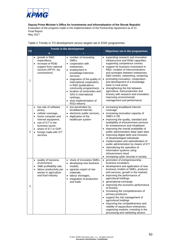

May 2017

| Table 2 Trends in TO development versus targets set in ESIF programmes |  |  |
|------------------------------------------------------------------------|--|--|
|                                                                        |  |  |

|                | <b>Trends in the development</b>                                                                                                                                                                                                                             |                                                                                                                                                                                                                                                                                                                                                                                                       |                                                                                                                                                                                                                                                                                                                                                                                                                                                                                                                                                                                                                |  |
|----------------|--------------------------------------------------------------------------------------------------------------------------------------------------------------------------------------------------------------------------------------------------------------|-------------------------------------------------------------------------------------------------------------------------------------------------------------------------------------------------------------------------------------------------------------------------------------------------------------------------------------------------------------------------------------------------------|----------------------------------------------------------------------------------------------------------------------------------------------------------------------------------------------------------------------------------------------------------------------------------------------------------------------------------------------------------------------------------------------------------------------------------------------------------------------------------------------------------------------------------------------------------------------------------------------------------------|--|
| <b>TO</b>      | ÷                                                                                                                                                                                                                                                            |                                                                                                                                                                                                                                                                                                                                                                                                       | Objectives set in the programmes                                                                                                                                                                                                                                                                                                                                                                                                                                                                                                                                                                               |  |
| 1              | growth in R&D<br>expenditure,<br>increase of RD&I<br>support from national<br>sources (APVV, tax<br>concessions)                                                                                                                                             | • number of innovating<br>SME <sub>s</sub> .<br>• cooperation with<br>enterprises,<br>employment in<br>$\bullet$<br>knowledge-intensive<br>services,<br>stagnation of the quality of<br>$\bullet$<br>international cooperation,<br>in R&D (publications,<br>community programmes),<br>• location of universities and<br>SAS in international<br>rankings,<br>· slow implementation of<br>RIS3 reforms | • expanding research and innovation<br>infrastructure and RD&I capacities,<br>supporting competence centres<br>• support for business investment in<br>R&D, creation of interconnections<br>and synergies between enterprises,<br>R&D centres, networking, clustering<br>• promoting innovation, cooperation<br>and development of a knowledge<br>base in rural areas<br>• strengthening the link between<br>agriculture, food production and<br>forestry with research and innovation,<br>improving environmental<br>management and performance                                                               |  |
| $\overline{2}$ | low rate of software<br>$\bullet$<br>piracy,<br>cellular coverage,<br>$\bullet$<br>home computer and<br>internet equipment,<br>use of ICT in the<br>$\bullet$<br>business sector,<br>share of ICT in GDP,<br>$\bullet$<br>foreign trade with ICT<br>services | low penetration by<br>$\bullet$<br>broadband internet,<br>electronic public services,<br>digitization of the<br>healthcare system                                                                                                                                                                                                                                                                     | • increasing broadband internet<br>coverage<br>• increasing innovation capacity of<br>SMEs in DE<br>• improving the quality, standard and<br>availability of eGovernment services<br>for entrepreneurs and inhabitants<br>• improving the overall availability of<br>public administration data/ open data<br>• improving digital skills and inclusion<br>of disadvantaged individuals<br>• modernization and rationalization of<br>public administration by means of ICT<br>• rationalizing the operation of<br>information systems using<br>eGovernment cloud<br>increasing cyber security in society        |  |
| 3              | quality of business<br>$\bullet$<br>environment,<br>SME profitability rate,<br>$\bullet$<br>labour productivity per<br>$\bullet$<br>worker in agriculture<br>and food industry                                                                               | share of innovative SMEs,<br>$\bullet$<br>developing new business<br>$\bullet$<br>models,<br>• agrarian export of raw<br>materials.<br>· labour shortages,<br>integration of production<br>and trade                                                                                                                                                                                                  | • promotion of entrepreneurship -<br>business incubators<br>• development and application of new<br>business models of SMEs, products<br>and services, growth in the markets<br>• improving the performance of<br>agricultural holdings<br>• generational exchange<br>• improving the economic performance<br>of forestry<br>• increasing the competitiveness of<br>primary producers<br>• support the risk management of<br>agricultural holdings<br>• improving the competitiveness and<br>viability of aquaculture enterprises,<br>organizing markets, investing in the<br>processing and marketing sectors |  |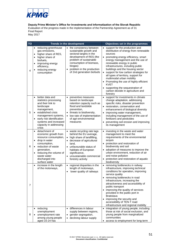

#### **Deputy Prime Minister's Office for Investments and Informatization of the Slovak Republic**

Evaluation of the progress made in the implementation of the Partnership Agreement as of 31 **Final Report** May 2017

**TO Trends in the development Objectives set in the programmes** 4 • reducing greenhouse gas emissions, higher share of RES, • higher share of biofuels, improving energy efficiency, reducing energy consumption • the consistency between sustainable growth and sectoral targets in the development of RES (the problem of sustainable consumption of biomass, biogas) problem in the production of 2nd generation biofuels support for the production and distribution of energy from renewable sources promoting energy efficiency, smart energy management and the use of renewable energy in public infrastructures, including public buildings and the housing sector support for low carbon strategies for all types of territory, support for multimodal urban mobility Promoting the use of highly efficient KVET supporting the sequestration of carbon dioxide in agriculture and forestry 5 better data and statistics processing and their link to landscape management, • established crisis management systems, early risk identification systems and increased capacity in addressing crisis preventive measures based on landscape retention capacity such as flood and landslide prevention, threats to biodiversity, low rate of implementation of agri-environmental measures support for investments in climate change adaptation, addressing specific risks, disaster prevention restoration, conservation and enhancement of biological diversity improving water management, including management of the use of fertilizers and pesticides • preventing soil erosion and improving its management 6 detachment of economic growth from resource consumption, drop in water consumption, • reduction of waste generation, reducing the volume of waste water discharged into surface water waste recycling rate lags behind the EU average, high share of landfilling, decrease of agricultural land, unfavourable status of habitats of European significance. unsustainable commercial forestry activity • investing in the waste and water management to meet the requirements of the environmental acquis protection and restoration of biodiversity and soil adoption of measures to improve the urban environment, reduction of air and noise pollution protection and restoration of aquatic biodiversity 7 increase in the length of the motorways, regional disparities in the length of motorways, lower quality of railways • removing bottlenecks in railway infrastructure, improving technical conditions for operation, improving service quality • removing bottlenecks in road infrastructure, increasing the attractiveness and accessibility of public transport improving the quality of services provided in the public port in Bratislava improving the security and accessibility of TEN-T road infrastructure and regional mobility 8 reducing unemployment unemployment rate among young people aged 15-24 has differences in labour supply between regions, • gender segregation, • declining labour supply • integration of young people, including those at risk of social exclusion, and young people from marginalized communities access to employment for long-term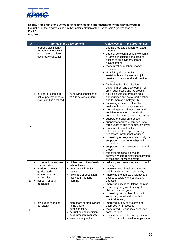

**Deputy Prime Minister's Office for Investments and Informatization of the Slovak Republic**

Evaluation of the progress made in the implementation of the Partnership Agreement as of 31 Final Report

May 2017

| <b>TO</b> | <b>Trends in the development</b>                                                                                                                                                               |                                                                                                                                                                 | Objectives set in the programmes                                                                                                                                                                                                                                                                                                                                                                                                                                                                                                                                                                                                                                                                                                                                                                                |  |  |
|-----------|------------------------------------------------------------------------------------------------------------------------------------------------------------------------------------------------|-----------------------------------------------------------------------------------------------------------------------------------------------------------------|-----------------------------------------------------------------------------------------------------------------------------------------------------------------------------------------------------------------------------------------------------------------------------------------------------------------------------------------------------------------------------------------------------------------------------------------------------------------------------------------------------------------------------------------------------------------------------------------------------------------------------------------------------------------------------------------------------------------------------------------------------------------------------------------------------------------|--|--|
|           | dropped significantly<br>(excluding those with<br>elementary and lower<br>secondary education)                                                                                                 |                                                                                                                                                                 | unemployed and support for labour<br>mobility<br>• equality between men and women in<br>all areas, including in the area of<br>access to employment, career<br>advancement<br>• modernization of labour market<br>institutions<br>• stimulating the promotion of<br>sustainable employment and job<br>creation in the cultural and creative<br>industry<br>• facilitating the diversification,<br>establishment and development of<br>small businesses and job creation                                                                                                                                                                                                                                                                                                                                         |  |  |
| 9         | number of people at<br>$\bullet$<br>risk of poverty or social<br>exclusion has declined                                                                                                        | poor living conditions of<br><b>MRCs below standard</b>                                                                                                         | • active inclusion to promote equal<br>opportunities and active participation<br>and to improve employability<br>• improving access to affordable,<br>sustainable and quality services<br>• promoting physical, economic and<br>social regeneration of deprived<br>communities in urban and rural areas<br>• support for social enterprises<br>• support for childcare services up to<br>three years of age at community level<br>• modernization of healthcare<br>infrastructure to integrate primary<br>healthcare, institutional facilities<br>• increasing employment rate locally by<br>supporting entrepreneurship and<br>innovation<br>• supporting local development in rural<br>areas<br>• transition from institutional to<br>community care (deinstitutionalisation<br>of the social services system |  |  |
| 10        | increase in investment<br>$\bullet$<br>in universities.<br>abolition of lower-<br>$\bullet$<br>quality study<br>departments at<br>universities,<br>support for dual<br>$\bullet$<br>education, | higher proportion of early<br>$\bullet$<br>school leavers.<br>poor results in PISA<br>ratings,<br>low share of population<br>involved in life-long<br>learning  | • reducing and preventing early school<br>leaving<br>• improving vocational education and<br>training systems and their quality<br>improving the quality, efficiency and<br>access to tertiary and equivalent<br>education<br>improving access to lifelong learning<br>• increasing the gross training of<br>children in kindergartens<br>• increasing the number of pupils in<br>secondary vocational schools in<br>practical training                                                                                                                                                                                                                                                                                                                                                                         |  |  |
| 11        | low public spending<br>per capita                                                                                                                                                              | $\bullet$<br>high share of employment<br>in the public<br>administration,<br>• corruption and inefficient<br>government bureaucracy,<br>• low efficiency of the | • improved quality of systems and<br>optimized PP processes<br>• modernized HR and increased staff<br>competencies<br>• transparent and effective application<br>of PP rules and consistent application                                                                                                                                                                                                                                                                                                                                                                                                                                                                                                                                                                                                         |  |  |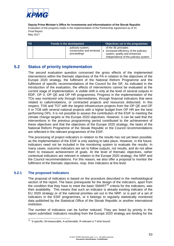

| TO. | <b>Trends in the development</b>                                 | Objectives set in the programmes                                                                                                      |
|-----|------------------------------------------------------------------|---------------------------------------------------------------------------------------------------------------------------------------|
|     | judiciary system,<br>construction and territorial<br>proceedings | of the 3E principles<br>increased efficiency of the judiciary<br>system, quality and enhanced<br>independence of the judiciary system |

## **5.2 Status of priority implementation**

<span id="page-62-0"></span>The second evaluation question concerned the gross effects of the implemented interventions within the thematic objectives of the PA in relation to the objectives of the Europe 2020 strategy, the fulfilment of the National Reform Programme and the fulfilment of specific recommendations of the Council for the SR. As indicated in the introduction of the evaluation, the effects of interventions cannot be evaluated at the current stage of implementation. A visible shift is only at the level of several outputs in RDP, OP II, OP QE and OP HR programmes. Progress in the implementation of the TOs was monitored only through intermediaries, through financial indicators that were related to calls/invitations, or contracted projects and resources disbursed. In this respect, TO6 and TO7 with the largest infrastructure projects from the OP QE and OP II or TO8 with several national projects with a higher budget from OP HR are the best performing OPs. It is not possible to assess the contribution of the ESIF to meeting the climate change targets or the Europe 2020 objectives. However, it can be said that the interventions in the previous programming period contributed to the achievement of these objectives and that the objectives of the Europe 2020 strategy, the tasks of the National Reform Programme of the Slovak Republic or the Council recommendations are reflected in the relevant programmes of the ESIF.

The processing of project indicators in relation to the results has not yet been possible, as the implementation of the ESIF is only starting to take place. However, in the future, indicators need not be included in the monitoring system to evaluate the results. In many cases, outcome indicators are set to follow outputs, not results, and do not allow them to measure achievement of goals. At the level of thematic objectives, rather contextual indicators are relevant in relation to the Europe 2020 strategy, the NRP and the Council recommendations. For this reason, we also offer a proposal to monitor the fulfilment of the thematic objectives, resp. their indicators at this level.

### **5.2.1 The proposed indicators**

<span id="page-62-1"></span>The proposal of indicators is based on the procedure described in the methodological section of the report. The basic prerequisite for the design of the indicators, apart from the condition that they have to meet the basic  $SMARK^2$  criteria for the indicators, was their availability. This means that such an indicator is already existing indicator of the EU 2020 strategy or of the national priorities set out in the NRP, or is part of a set of indicators in the ESIF programmes, or it belongs to regularly statistically monitored data published by the Statistical Office of the Slovak Republic or another international institution.

The number of indicators can be further reduced. They are listed by priority in the report submitted. Indicators resulting from the Europe 2020 strategy are binding for the

 29 S-specific, M-measurable, A-achievable, R-relevant a T-time bound.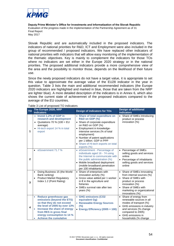

Slovak Republic and are automatically included in the proposed indicators. The indicators of national priorities for R&D, ICT and Employment were also included in the group of recommended / proposed indicators. We have replaced other indicators of national priorities with indicators that will allow easy monitoring of the implementation of the thematic objectives. Key is mainly to complement the indicators for those TOs where no indicators are set either in the Europe 2020 strategy or in the national priorities. The proposed additional indicators provide a more comprehensive view of the area and the possibility to monitor those, depends on the likelihood of their future use.

Since the newly proposed indicators do not have a target value, it is appropriate to set this value to approximate the average value of the EU28 indicator in the year in question. Table 3 lists the main and additional recommended indicators (the Europe 2020 indicators are highlighted and marked in blue, those that are taken from the NRP are lighter blue). A more detailed description of the indicators is in Annex 6, which also shows the current state of achievemnet of the proposed indicators compared to the average of the EU countries.

| <b>TO</b>    | The Europe 2020, NRP<br><b>indicators</b>                                                                                                                                                                                                                 | <b>Design of indicators for TOs</b>                                                                                                                                                                                                                                                                                | <b>Design of additional</b><br><b>indicators</b>                                                                                                                                                                  |
|--------------|-----------------------------------------------------------------------------------------------------------------------------------------------------------------------------------------------------------------------------------------------------------|--------------------------------------------------------------------------------------------------------------------------------------------------------------------------------------------------------------------------------------------------------------------------------------------------------------------|-------------------------------------------------------------------------------------------------------------------------------------------------------------------------------------------------------------------|
| 1            | • Invest 1.2% of GDP in<br>research and development<br>Quotations 70 % (100 = $EU$<br>$\bullet$<br>average)<br>Hi-tech export 14 % in total<br>export                                                                                                     | • Share of total expenditure on<br>R&D on GDP (%)<br>• Share of corporate expenditure<br>on R&D on GDP (%)<br>• Employment in knowledge-<br>intensive services (% of total<br>employment)<br>• Number of patent applications<br>per 1 billion. GDP in PPP<br>• Share of Hi-tech exports on total<br>exports $(\%)$ | • Share of SMEs introducing<br>product or process<br>innovation (%)                                                                                                                                               |
| $\mathbf{2}$ | eGovernment 71.7 %                                                                                                                                                                                                                                        | • eGovernment - Percentage of<br>individuals aged 16 - 74 using<br>the Internet to communicate with<br>the public administration (%)<br>• Mobile broadband deployment<br>(mobile broadband penetration<br>per 100 inhabitants)                                                                                     | • Percentage of SMEs<br>selling goods and services<br>online<br>• Percentage of inhabitants<br>selling goods and services<br>online                                                                               |
| 3            | Doing Business 15 (the World<br>$\bullet$<br>Bank ranking)<br><b>Product Market Regulatory</b><br>Index 1.2 (Point Rating)                                                                                                                                | • Share of enterprises with<br>innovation activity (%)<br>• Gross value added per 1 worker<br>in $\epsilon$ in the agriculture and<br>fisheries<br>• SMEs survival rate after two<br>years $(\%)$                                                                                                                  | • Share of SMEs innovating<br>from internal sources (%)<br>• Share of SMEs with<br>product or process<br>innovation (%)<br>• Share of SMEs with<br>marketing or organizational<br>innovations (%)                 |
| 4            | Reduce greenhouse gas<br>emissions (beyond the ETS)<br>so that they do not exceed<br>the level of 2005 by over 13%<br>Increase the share of energy<br>$\bullet$<br>from RES in gross final<br>energy consumption to 14 %<br><b>Achieve the cumulative</b> | • GHG emissions (CO2<br>equivalent Gg)<br>• Renewable Energy Sources<br>(%)<br>• Energy Efficiency (2005 = 100)                                                                                                                                                                                                    | • Share of energy from<br>renewable sources in all<br>modes of transport (%)<br>GHG emissions in industry<br>$\bullet$<br>and services (% change<br>compared to 2005)<br>GHG emissions in<br>households (% change |

Table 3 List of proposed TO indicators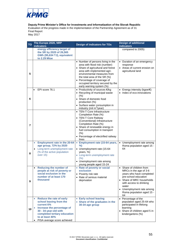

**Deputy Prime Minister's Office for Investments and Informatization of the Slovak Republic**

Evaluation of the progress made in the implementation of the Partnership Agreement as of 31 Final Report

May 2017

| <b>TO</b> | The Europe 2020, NRP<br>indicators                                                                                                                                                                                                       | <b>Design of indicators for TOs</b>                                                                                                                                                                                                                                                                    | <b>Design of additional</b><br><b>indicators</b>                                                                                                                                                                                        |
|-----------|------------------------------------------------------------------------------------------------------------------------------------------------------------------------------------------------------------------------------------------|--------------------------------------------------------------------------------------------------------------------------------------------------------------------------------------------------------------------------------------------------------------------------------------------------------|-----------------------------------------------------------------------------------------------------------------------------------------------------------------------------------------------------------------------------------------|
|           | energy efficiency target of<br>the SR by 2020 of 26,565<br>GWh (95,634 TJ), equivalent<br>to 2.29 Mtoe                                                                                                                                   |                                                                                                                                                                                                                                                                                                        | compared to 2005)                                                                                                                                                                                                                       |
| 5         |                                                                                                                                                                                                                                          | • Number of persons living in the<br>area with flood risk (number)<br>• Share of agricultural and forest<br>area with implemented agri-<br>environmental measures from<br>the total area of the SR (%)<br>• Percentage of coverage of<br>occupied territory secured by the<br>early warning system (%) | • Duration of an emergency<br>response<br>• Areas of current erosion on<br>agricultural land                                                                                                                                            |
| 6         | EPI score 76.1                                                                                                                                                                                                                           | • Productivity of sources €/kg<br>• Recycling of municipal waste<br>$(\% )$<br>• Share of domestic food<br>production (%)<br>• Surface water consumption in<br>industry (mil m <sup>3</sup> /year)                                                                                                     | • Energy intensity (kgoe/€)<br>• Index of eco-innovations                                                                                                                                                                               |
| 7         |                                                                                                                                                                                                                                          | • TEN-T Core Infrastructure<br>Completion Rate (%)<br>• TEN-T Core Railway<br>(Conventional) Infrastructure<br>Completion Rate (%)<br>• Share of renewable energy in<br>fuel consumption in transport<br>(% )<br>• Percentage of electrified railway<br>lines                                          |                                                                                                                                                                                                                                         |
| 8         | <b>Employment rate in the 20-64</b><br>$\bullet$<br>age group, 72% by 2020<br>Long-term unemployment rate<br>$\bullet$<br>(% of the active population<br>over 15)                                                                        | • Employment rate (15-64 years,<br>%)<br>• Unemployment rate (15-64<br>years, %)<br>• Long-term unemployment rate<br>(%)<br>• Unemployment rate among<br>young people aged 15-24                                                                                                                       | Unemployment rate among<br>Roma population aged 15 -<br>64                                                                                                                                                                              |
| 9         | <b>Reducing the number of</b><br>$\bullet$<br>people at risk of poverty or<br>social exclusion in the<br>number of at least 170<br>thousand                                                                                              | • Rate of poverty or social<br>exclusion<br>• Poverty risk rate<br>• Rate of serious material<br>deprivation                                                                                                                                                                                           | • Share of children from<br>MRCs in the age of 3-6<br>years who have completed<br>pre-school education<br>• Share of MRC households<br>with access to drinking<br>water<br>• Unemployment rate among<br>Roma population aged 15 -<br>64 |
| 10        | <b>Reduce the rate of early</b><br>$\bullet$<br>school leaving from the<br>current 6%<br>Increase the percentage of<br>٠<br>30 - 34-year-old with<br>completed tertiary education<br>to at least 40%<br>PISA average score achieved<br>٠ | • Early school leaving<br>• Share of the graduates in the<br>30-34 age group                                                                                                                                                                                                                           | • Percentage of the<br>population aged 25-64 who<br>participated in lifelong<br>learning<br>• Share of children aged 5 in<br>kindergartens (%)                                                                                          |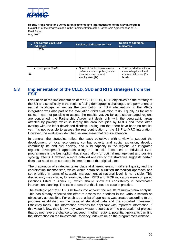

| <b>TO</b> | The Europe 2020, NRP<br><b>indicators</b> | Design of indicators for TOs                                                                                     | <b>Design of additional</b><br><b>indicators</b>                                         |
|-----------|-------------------------------------------|------------------------------------------------------------------------------------------------------------------|------------------------------------------------------------------------------------------|
|           | (505)                                     |                                                                                                                  |                                                                                          |
| 11        | Corruption 68.4%                          | • Share of Public administration,<br>defence and compulsory social<br>insurance staff in total<br>employment (%) | • Time needed to settle a<br>case in legal, civil and<br>commercial cases (1st<br>level) |

## <span id="page-65-0"></span>**5.3 Implementation of the CLLD, SUD and RITS strategies from the ESIF**

Evaluation of the implementation of the CLLD, SUD, RITS objectives on the territory of the SR and specifically in the regions facing demographic challenges and permanent or natural handicaps as well as the contribution of ESIF interventions to the MRCs integration was also part of the evaluation (third evaluation task). Equally as for other tasks, it was not possible to assess the results, yet. As far as disadvantaged regions are concerned, the Partnership Agreement deals only with the geographic areas affected by poverty, which is largely the area occupied by MRCs and these often overlap with the least developed districts. Taking into that there have been no results, yet, it is not possible to assess the real contribution of the ESIF to MRC integration. However, the evaluation identified several areas that require attention.

In general, the strategies reflect the basic objectives with a view to support the development of local economies, combat poverty and social exclusion, develop community life and civil society, and build capacity in the regions. An integrated regional development approach using the financial resources of individual ESIF programmes is the best option that should allow for optimal management and positive synergy effects. However, a more detailed analysis of the strategies suggests certain risks that need to be corrected in time, to meet the original aims.

The preparation of strategies takes place at different levels, in different quality and the coordination mechanisms, which would establish a unified methodical approach and set priorities in terms of strategic management at national level, is not visible. This discrepancy was visible, for example, when RITS and IROP indicators were compared (sections listed in Annex 8), which should show full consistency in coordinated intervention planning. The table shows that this is not the case in practice.

The strategic part of RITS BSK takes into account the results of multi-criteria analysis. This has already reflected the effort to assess the priorities in the various sectors as objectively as possible. For each area, a list of applicants was created according to the priorities established on the basis of statistical data and the so-called Investment Efficiency Index. This information provides the applicant with important information. If this value is low, they know they would waste resources on the preparation of projects that do not have the chance to succeed. In other regions, potential applicants can find the information on the Investment Efficiency Index value on the programme's website.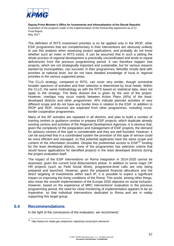

The definition of RITS investment priorities is so far applied only in the IROP, other ESIF programmes that are complementary in their interventions are obviously unlikely to use this analysis when assessing project applications, and probably do not know whether such an index or RITS exists. It can be assumed that in such a setting the whole process of regional development is practically uncoordinated and tends to repeat deficiencies from the previous programming period. It can therefore happen that projects, which are not strategically important and sustainable, but for various reasons wanted by municipalities, can succeed. In their programmes, MAs/IBs mostly deal with priorities at national level, but do not have detailed knowledge of local or regional priorities in the various supported areas.

The CLLD strategy, compared to RITS, can cover very similar, though somewhat broader spectrum of activities and their selection is determined by local needs. Within the CLLD, the same methodology as with the RITS based on statistical data, does not apply to the strategy. The likely division line is given by the size of the project. However, overlaps may occur mainly between Action Plans (APs) of the leastdeveloped districts and other programmes. APs indicate planned activities of very different scope and do not have any border lines in relation to the ESIF. In addition to IROP and RDP, resources are expected from other programmes, including crossborder cooperation programmes.

Many of the AP activities are repeated in all districts, and plan to build a number of training centres or guidance centres to prepare ESIF projects, which duplicate already existing centres and activities of the Regional Development Agencies. It is obvious that, given the complexity of the preparation and management of ESIF projects, the demand for advisory centres of this type is considerable and they are well founded. However, it can be assumed that in a coordinated system the provision of this type of service could be more efficient and managed, so that potential applicants have the same scope and content of the information provided. Despite the preferential access to  $ESIF<sup>30</sup>$  funding for the least developed districts, none of the programmes has selection criteria that would favour applications for identified projects in the least developed districts during the project evaluation itself.

The impact of the ESIF interventions on Roma integration in 2014-2020 cannot be assessed, given the current fund disbursement phase. In addition to some major OP HR projects (such as Field Social Work), programme-level calls are only being prepared and launched. However, given the prepared financial allocations and the direct targeting of investments within each IP, it is possible to expect a significant impact on improving the living conditions of the Roma. This would, among other things, also mean the smooth implementation of the Europe 2020 objective on social inclusion. However, based on the experience of MRC interventions' evaluation in the previous programming period, the need for close monitoring of implementation appears to be an imperative, so that individual interventions dedicated to Roma and are in reality supporting this target group.

### **5.4 Recommendations**

<span id="page-66-0"></span>In the light of the conclusions of the evaluation, we recommend:

 30 http://www.nro.vlada.gov.sk/pomoc-najmenej-rozvinutym-okresom/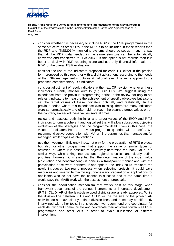

- consider whether it is necessary to include RDP in the ESIF programmes in the same structure as other OPs. If the RDP is to be included in these reports then the RDP and ITMS2014+ monitoring systems should be set up in such a way that all the RDP data needed in the same structure can be automatically converted and transferred to ITMS2014+. If this option is not realistic then it is better to deal with RDP reporting alone and use only financial information of RDP for the overall ESIF evaluation.
- consider the use of the indicators proposed for each TO, either in the precise form proposed by this report, or with a slight adjustment, according to the needs of the ESIF management structures at national level. The same applies to the proposed complementary TO indicators.
- consider adjustment of result indicators at the next OP revision whenever these indicators currently monitor outputs (e.g. OP HR). We suggest using the experience from the previous programming period in the review not only to set relevant indicators to measure the achievement of specific objectives but also to set the target values of these indicators optimally and realistically. In the previous period where this experience was missing, therefore many indicators were set unrealistically and often did not reach the planned target values or, on the contrary, exceeded these values several times.
- review and reassess both the initial and target values of the IROP and RITS indicators to form a coherent and logical set that will allow subsequent objective evaluation of the strategies and the programme itself. Even in this case, the values of indicators from the previous programming period will be useful. We recommend active cooperation with MA or IB programmes that manage and/or managed similar types of interventions.
- use the Investment Efficiency Index not only for the preparation of RITS projects but also for other programmes that support the same or similar types of activities, or where it is possible to objectively determine the index value in a similar way, while taking into account regional specifics and clearly define priorities. However, it is essential that the determination of the index value (calculation and benchmarking) is done in a transparent manner and with the participation of relevant partners. If appropriate, the index could "replace" the newly introduced two-round process when selecting projects. It could save resources and time while minimizing unnecessary preparation of applications for applicants who do not have the chance to succeed and at the same time it would save the MA/IB work with the assessment of proposals.
- consider the coordination mechanism that works best at this stage when framework documents of the various instruments of integrated development (RITS, CLLD, AP of the least-developed districts) are already approved. While the division line between RITS and CLLD will be the size of the project, AP activities do not have clearly defined division lines, and these may be differently intertwined with other tools. In this respect, we recommend one coordinator for each AP, who will communicate and coordinate their activities towards all ESIF programmes and other APs in order to avoid duplication of different interventions.